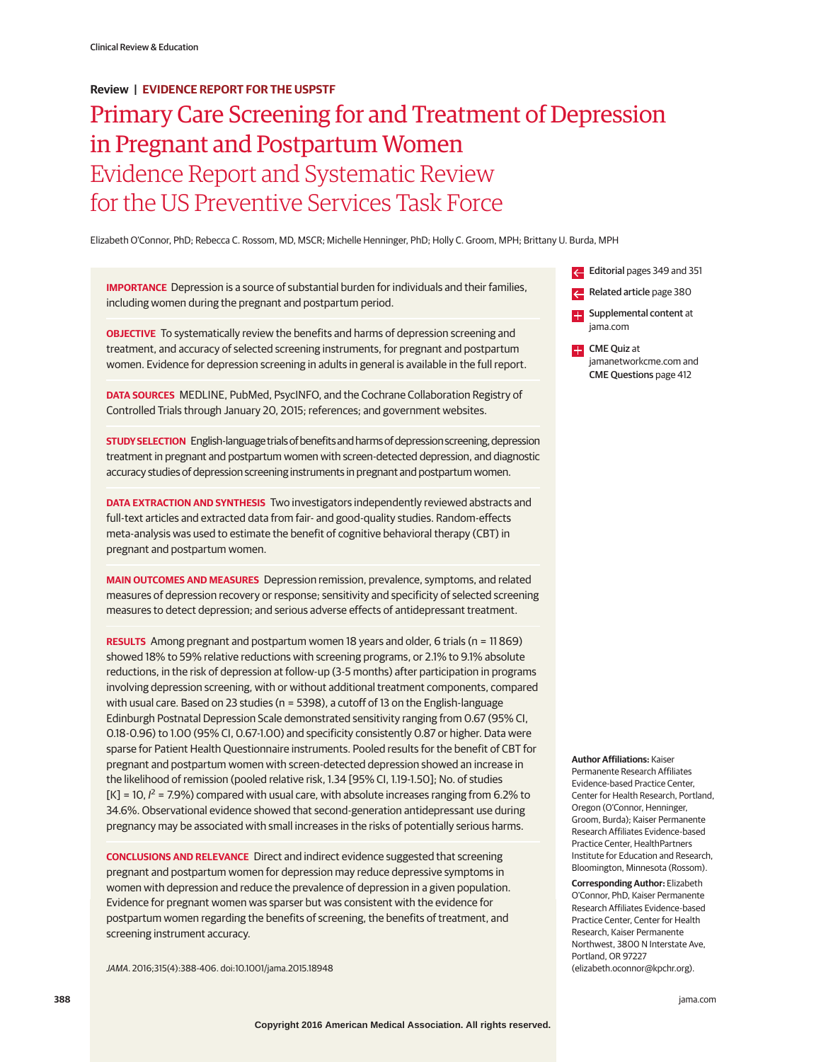## **Review | EVIDENCE REPORT FOR THE USPSTF**

# Primary Care Screening for and Treatment of Depression in Pregnant and Postpartum Women Evidence Report and Systematic Review for the US Preventive Services Task Force

Elizabeth O'Connor, PhD; Rebecca C. Rossom, MD, MSCR; Michelle Henninger, PhD; Holly C. Groom, MPH; Brittany U. Burda, MPH

**IMPORTANCE** Depression is a source of substantial burden for individuals and their families, including women during the pregnant and postpartum period.

**OBJECTIVE** To systematically review the benefits and harms of depression screening and treatment, and accuracy of selected screening instruments, for pregnant and postpartum women. Evidence for depression screening in adults in general is available in the full report.

**DATA SOURCES** MEDLINE, PubMed, PsycINFO, and the Cochrane Collaboration Registry of Controlled Trials through January 20, 2015; references; and government websites.

**STUDY SELECTION** English-language trials of benefits and harms of depression screening, depression treatment in pregnant and postpartum women with screen-detected depression, and diagnostic accuracy studies of depression screening instruments in pregnant and postpartum women.

**DATA EXTRACTION AND SYNTHESIS** Two investigators independently reviewed abstracts and full-text articles and extracted data from fair- and good-quality studies. Random-effects meta-analysis was used to estimate the benefit of cognitive behavioral therapy (CBT) in pregnant and postpartum women.

**MAIN OUTCOMES AND MEASURES** Depression remission, prevalence, symptoms, and related measures of depression recovery or response; sensitivity and specificity of selected screening measures to detect depression; and serious adverse effects of antidepressant treatment.

**RESULTS** Among pregnant and postpartum women 18 years and older, 6 trials (n = 11 869) showed 18% to 59% relative reductions with screening programs, or 2.1% to 9.1% absolute reductions, in the risk of depression at follow-up (3-5 months) after participation in programs involving depression screening, with or without additional treatment components, compared with usual care. Based on 23 studies (n = 5398), a cutoff of 13 on the English-language Edinburgh Postnatal Depression Scale demonstrated sensitivity ranging from 0.67 (95% CI, 0.18-0.96) to 1.00 (95% CI, 0.67-1.00) and specificity consistently 0.87 or higher. Data were sparse for Patient Health Questionnaire instruments. Pooled results for the benefit of CBT for pregnant and postpartum women with screen-detected depression showed an increase in the likelihood of remission (pooled relative risk, 1.34 [95% CI, 1.19-1.50]; No. of studies [K] = 10,  $l^2$  = 7.9%) compared with usual care, with absolute increases ranging from 6.2% to 34.6%. Observational evidence showed that second-generation antidepressant use during pregnancy may be associated with small increases in the risks of potentially serious harms.

**CONCLUSIONS AND RELEVANCE** Direct and indirect evidence suggested that screening pregnant and postpartum women for depression may reduce depressive symptoms in women with depression and reduce the prevalence of depression in a given population. Evidence for pregnant women was sparser but was consistent with the evidence for postpartum women regarding the benefits of screening, the benefits of treatment, and screening instrument accuracy.

JAMA. 2016;315(4):388-406. doi:10.1001/jama.2015.18948

- Editorial pages 349 and 351
- Related article page 380
- **Examplemental content at** jama.com
- **CME** Quiz at jamanetworkcme.com and CME Questions page 412

**Author Affiliations:** Kaiser Permanente Research Affiliates Evidence-based Practice Center, Center for Health Research, Portland, Oregon (O'Connor, Henninger, Groom, Burda); Kaiser Permanente Research Affiliates Evidence-based Practice Center, HealthPartners Institute for Education and Research, Bloomington, Minnesota (Rossom).

**Corresponding Author:** Elizabeth O'Connor, PhD, Kaiser Permanente Research Affiliates Evidence-based Practice Center, Center for Health Research, Kaiser Permanente Northwest, 3800 N Interstate Ave, Portland, OR 97227 (elizabeth.oconnor@kpchr.org).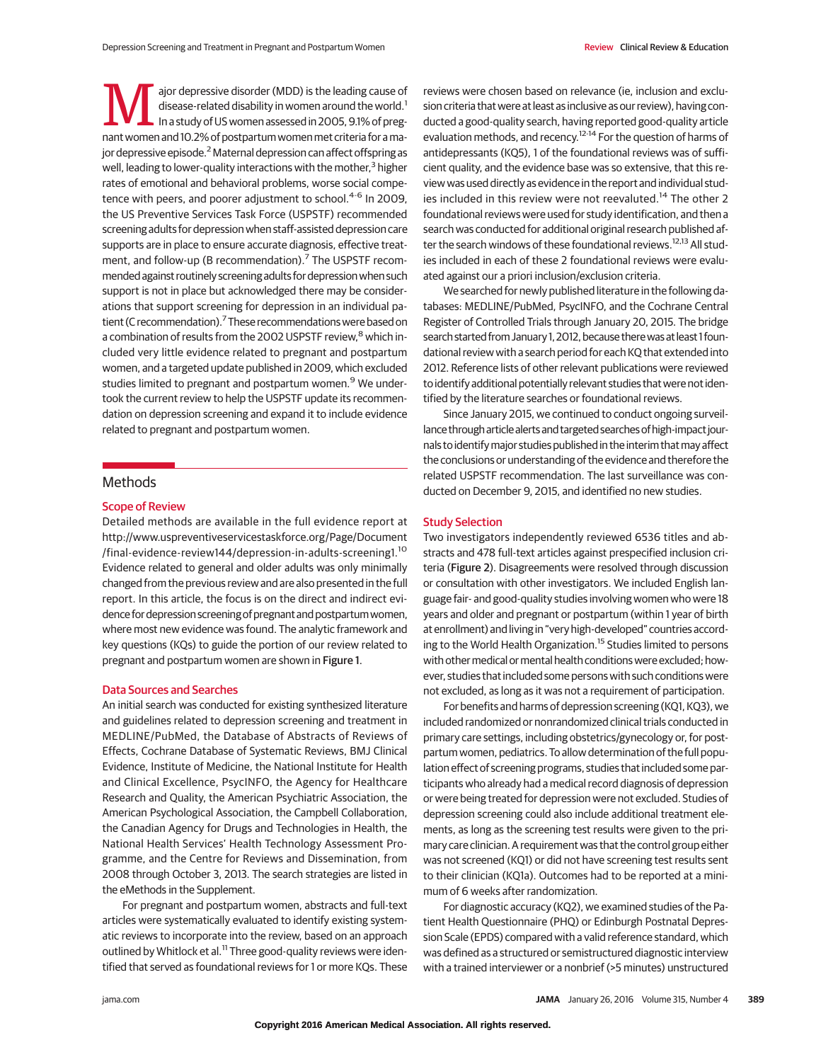Major depressive disorder (MDD) is the leading cause of<br>lisease-related disability in women around the world.<sup>1</sup><br>na study of US women assessed in 2005, 9.1% of preg-<br>nant women and 10.2% of postpattum women met criteria fo disease-related disability in women around the world. $^1$ In a study of US women assessed in 2005, 9.1% of pregnant women and 10.2% of postpartum womenmet criteria for amajor depressive episode. $2$  Maternal depression can affect offspring as well, leading to lower-quality interactions with the mother,<sup>3</sup> higher rates of emotional and behavioral problems, worse social competence with peers, and poorer adjustment to school.<sup>4-6</sup> In 2009, the US Preventive Services Task Force (USPSTF) recommended screening adults for depression when staff-assisted depression care supports are in place to ensure accurate diagnosis, effective treatment, and follow-up (B recommendation).<sup>7</sup> The USPSTF recommended against routinely screening adults for depressionwhen such support is not in place but acknowledged there may be considerations that support screening for depression in an individual patient (C recommendation).<sup>7</sup> These recommendations were based on a combination of results from the 2002 USPSTF review,<sup>8</sup> which included very little evidence related to pregnant and postpartum women, and a targeted update published in 2009, which excluded studies limited to pregnant and postpartum women.<sup>9</sup> We undertook the current review to help the USPSTF update its recommendation on depression screening and expand it to include evidence related to pregnant and postpartum women.

## Methods

## Scope of Review

Detailed methods are available in the full evidence report at http://www.uspreventiveservicestaskforce.org/Page/Document /final-evidence-review144/depression-in-adults-screening1.<sup>10</sup> Evidence related to general and older adults was only minimally changed from the previous review and are also presented in the full report. In this article, the focus is on the direct and indirect evidence for depression screening of pregnantand postpartumwomen, where most new evidence was found. The analytic framework and key questions (KQs) to guide the portion of our review related to pregnant and postpartum women are shown in Figure 1.

#### Data Sources and Searches

An initial search was conducted for existing synthesized literature and guidelines related to depression screening and treatment in MEDLINE/PubMed, the Database of Abstracts of Reviews of Effects, Cochrane Database of Systematic Reviews, BMJ Clinical Evidence, Institute of Medicine, the National Institute for Health and Clinical Excellence, PsycINFO, the Agency for Healthcare Research and Quality, the American Psychiatric Association, the American Psychological Association, the Campbell Collaboration, the Canadian Agency for Drugs and Technologies in Health, the National Health Services' Health Technology Assessment Programme, and the Centre for Reviews and Dissemination, from 2008 through October 3, 2013. The search strategies are listed in the eMethods in the Supplement.

For pregnant and postpartum women, abstracts and full-text articles were systematically evaluated to identify existing systematic reviews to incorporate into the review, based on an approach outlined by Whitlock et al.<sup>11</sup> Three good-quality reviews were identified that served as foundational reviews for 1 or more KQs. These reviews were chosen based on relevance (ie, inclusion and exclusion criteria that were at least as inclusive as our review), having conducted a good-quality search, having reported good-quality article evaluation methods, and recency.<sup>12-14</sup> For the question of harms of antidepressants (KQ5), 1 of the foundational reviews was of sufficient quality, and the evidence base was so extensive, that this review was used directly as evidence in the report and individual studies included in this review were not reevaluted.<sup>14</sup> The other 2 foundational reviews were used for study identification, and then a search was conducted for additional original research published after the search windows of these foundational reviews.<sup>12,13</sup> All studies included in each of these 2 foundational reviews were evaluated against our a priori inclusion/exclusion criteria.

We searched for newly published literature in the following databases: MEDLINE/PubMed, PsycINFO, and the Cochrane Central Register of Controlled Trials through January 20, 2015. The bridge search started from January 1, 2012, because there was at least 1 foundational review with a search period for each KQ that extended into 2012. Reference lists of other relevant publications were reviewed to identify additional potentially relevant studies that were not identified by the literature searches or foundational reviews.

Since January 2015, we continued to conduct ongoing surveillance through article alerts and targeted searches of high-impact journals to identifymajor studies published in the interim thatmay affect the conclusions or understanding of the evidence and therefore the related USPSTF recommendation. The last surveillance was conducted on December 9, 2015, and identified no new studies.

## Study Selection

Two investigators independently reviewed 6536 titles and abstracts and 478 full-text articles against prespecified inclusion criteria (Figure 2). Disagreements were resolved through discussion or consultation with other investigators. We included English language fair- and good-quality studies involving women who were 18 years and older and pregnant or postpartum (within 1 year of birth at enrollment) and living in "very high-developed" countries according to the World Health Organization.<sup>15</sup> Studies limited to persons with other medical or mental health conditions were excluded; however, studies that included some persons with such conditions were not excluded, as long as it was not a requirement of participation.

For benefits and harms of depression screening (KQ1, KQ3), we included randomized or nonrandomized clinical trials conducted in primary care settings, including obstetrics/gynecology or, for postpartum women, pediatrics. To allow determination of the full population effect of screening programs, studies that included some participants who already had a medical record diagnosis of depression or were being treated for depression were not excluded. Studies of depression screening could also include additional treatment elements, as long as the screening test results were given to the primary care clinician. A requirement was that the control group either was not screened (KQ1) or did not have screening test results sent to their clinician (KQ1a). Outcomes had to be reported at a minimum of 6 weeks after randomization.

For diagnostic accuracy (KQ2), we examined studies of the Patient Health Questionnaire (PHQ) or Edinburgh Postnatal Depression Scale (EPDS) compared with a valid reference standard, which was defined as a structured or semistructured diagnostic interview with a trained interviewer or a nonbrief (>5 minutes) unstructured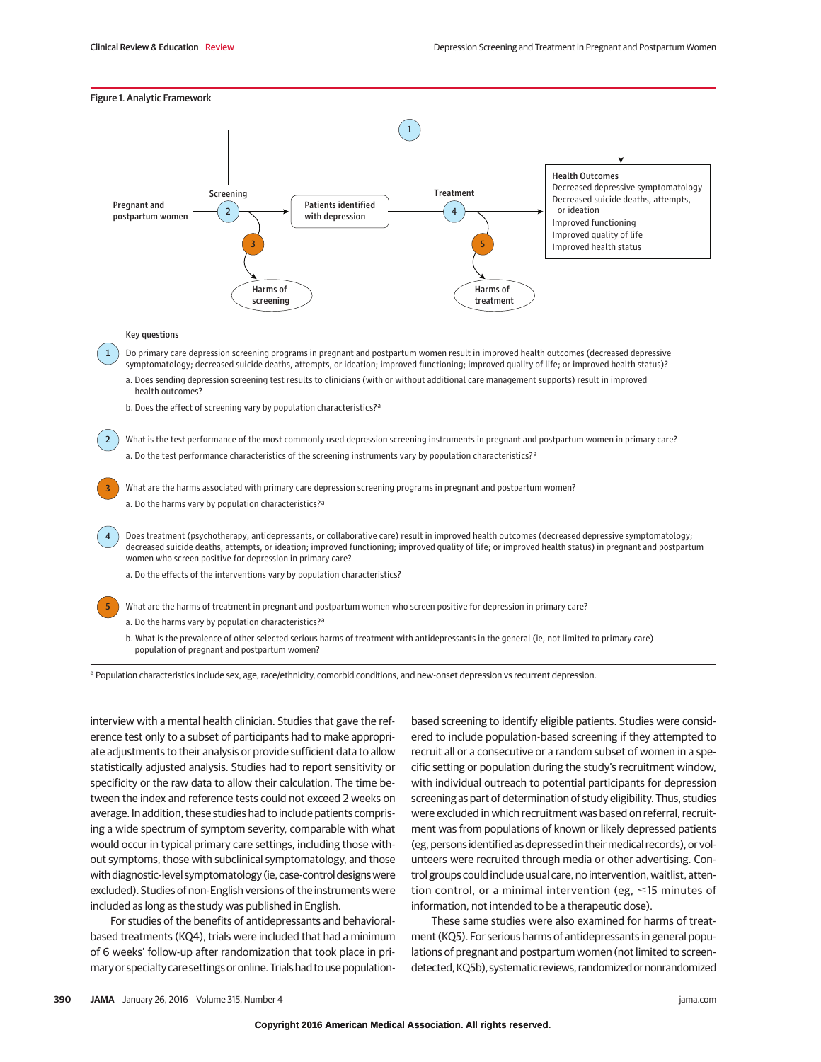Figure 1. Analytic Framework



#### Key questions

1

5

4

- Do primary care depression screening programs in pregnant and postpartum women result in improved health outcomes (decreased depressive symptomatology; decreased suicide deaths, attempts, or ideation; improved functioning; improved quality of life; or improved health status)?
- a. Does sending depression screening test results to clinicians (with or without additional care management supports) result in improved health outcomes?
- b. Does the effect of screening vary by population characteristics?<sup>a</sup>
- a. Do the test performance characteristics of the screening instruments vary by population characteristics?<sup>a</sup> What is the test performance of the most commonly used depression screening instruments in pregnant and postpartum women in primary care?
	- a. Do the harms vary by population characteristics?<sup>a</sup> 3 What are the harms associated with primary care depression screening programs in pregnant and postpartum women?
- Does treatment (psychotherapy, antidepressants, or collaborative care) result in improved health outcomes (decreased depressive symptomatology; decreased suicide deaths, attempts, or ideation; improved functioning; improved quality of life; or improved health status) in pregnant and postpartum women who screen positive for depression in primary care?
	- a. Do the effects of the interventions vary by population characteristics?
	- What are the harms of treatment in pregnant and postpartum women who screen positive for depression in primary care?
	- a. Do the harms vary by population characteristics?<sup>a</sup>
	- b. What is the prevalence of other selected serious harms of treatment with antidepressants in the general (ie, not limited to primary care) population of pregnant and postpartum women?

a Population characteristics include sex, age, race/ethnicity, comorbid conditions, and new-onset depression vs recurrent depression.

interview with a mental health clinician. Studies that gave the reference test only to a subset of participants had to make appropriate adjustments to their analysis or provide sufficient data to allow statistically adjusted analysis. Studies had to report sensitivity or specificity or the raw data to allow their calculation. The time between the index and reference tests could not exceed 2 weeks on average. In addition, these studies had to include patients comprising a wide spectrum of symptom severity, comparable with what would occur in typical primary care settings, including those without symptoms, those with subclinical symptomatology, and those with diagnostic-level symptomatology (ie, case-control designswere excluded). Studies of non-English versions of the instruments were included as long as the study was published in English.

For studies of the benefits of antidepressants and behavioralbased treatments (KQ4), trials were included that had a minimum of 6 weeks' follow-up after randomization that took place in primary or specialty care settings or online. Trials had to use populationbased screening to identify eligible patients. Studies were considered to include population-based screening if they attempted to recruit all or a consecutive or a random subset of women in a specific setting or population during the study's recruitment window, with individual outreach to potential participants for depression screening as part of determination of study eligibility. Thus, studies were excluded in which recruitment was based on referral, recruitment was from populations of known or likely depressed patients (eg, persons identified as depressed in their medical records), or volunteers were recruited through media or other advertising. Control groups could include usual care, no intervention, waitlist, attention control, or a minimal intervention (eg,  $\leq$ 15 minutes of information, not intended to be a therapeutic dose).

These same studies were also examined for harms of treatment (KQ5). For serious harms of antidepressants in general populations of pregnant and postpartum women (not limited to screendetected, KQ5b), systematic reviews, randomized or nonrandomized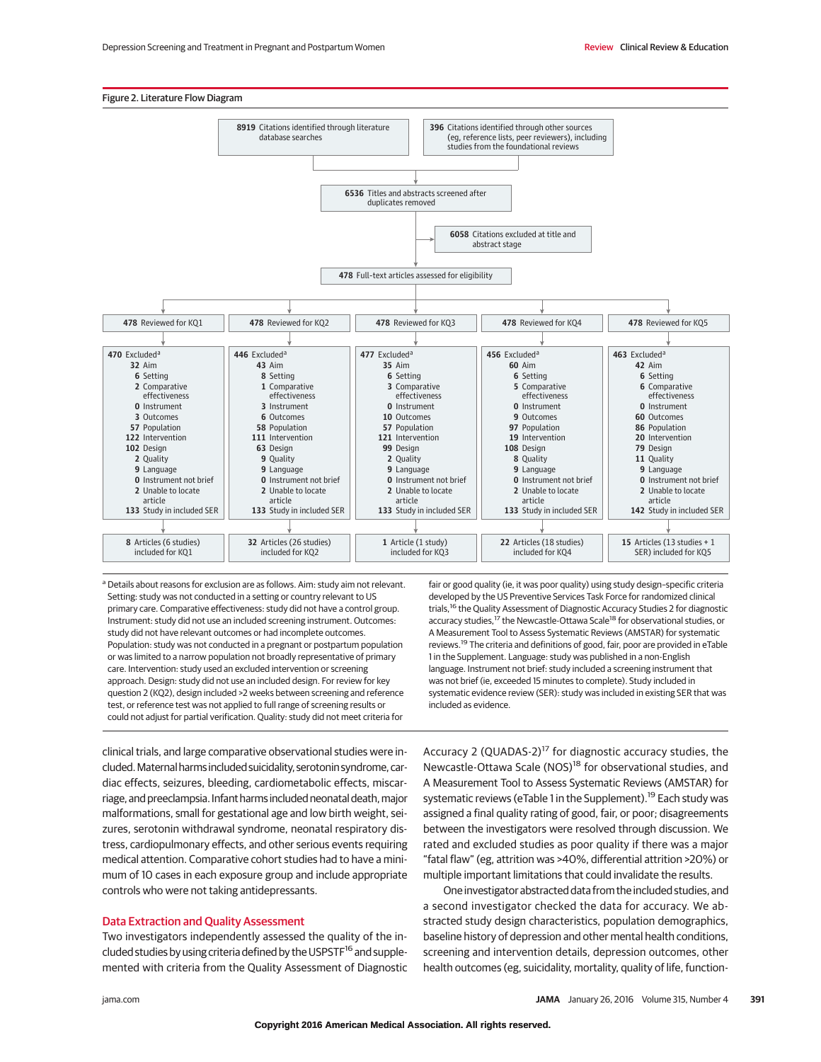

a Details about reasons for exclusion are as follows. Aim: study aim not relevant. Setting: study was not conducted in a setting or country relevant to US primary care. Comparative effectiveness: study did not have a control group. Instrument: study did not use an included screening instrument. Outcomes: study did not have relevant outcomes or had incomplete outcomes. Population: study was not conducted in a pregnant or postpartum population or was limited to a narrow population not broadly representative of primary care. Intervention: study used an excluded intervention or screening approach. Design: study did not use an included design. For review for key question 2 (KQ2), design included >2 weeks between screening and reference test, or reference test was not applied to full range of screening results or could not adjust for partial verification. Quality: study did not meet criteria for

fair or good quality (ie, it was poor quality) using study design–specific criteria developed by the US Preventive Services Task Force for randomized clinical trials,<sup>16</sup> the Quality Assessment of Diagnostic Accuracy Studies 2 for diagnostic accuracy studies,<sup>17</sup> the Newcastle-Ottawa Scale<sup>18</sup> for observational studies, or A Measurement Tool to Assess Systematic Reviews (AMSTAR) for systematic reviews.<sup>19</sup> The criteria and definitions of good, fair, poor are provided in eTable 1 in the Supplement. Language: study was published in a non-English language. Instrument not brief: study included a screening instrument that was not brief (ie, exceeded 15 minutes to complete). Study included in systematic evidence review (SER): study was included in existing SER that was included as evidence.

clinical trials, and large comparative observational studies were included.Maternal harms included suicidality, serotonin syndrome, cardiac effects, seizures, bleeding, cardiometabolic effects, miscarriage, and preeclampsia. Infant harms included neonatal death, major malformations, small for gestational age and low birth weight, seizures, serotonin withdrawal syndrome, neonatal respiratory distress, cardiopulmonary effects, and other serious events requiring medical attention. Comparative cohort studies had to have a minimum of 10 cases in each exposure group and include appropriate controls who were not taking antidepressants.

## Data Extraction and Quality Assessment

Two investigators independently assessed the quality of the included studies by using criteria defined by the USPSTF<sup>16</sup> and supplemented with criteria from the Quality Assessment of Diagnostic Accuracy 2 (QUADAS-2)<sup>17</sup> for diagnostic accuracy studies, the Newcastle-Ottawa Scale (NOS)<sup>18</sup> for observational studies, and A Measurement Tool to Assess Systematic Reviews (AMSTAR) for systematic reviews (eTable 1 in the Supplement).<sup>19</sup> Each study was assigned a final quality rating of good, fair, or poor; disagreements between the investigators were resolved through discussion. We rated and excluded studies as poor quality if there was a major "fatal flaw" (eg, attrition was >40%, differential attrition >20%) or multiple important limitations that could invalidate the results.

One investigator abstracted data from the included studies, and a second investigator checked the data for accuracy. We abstracted study design characteristics, population demographics, baseline history of depression and other mental health conditions, screening and intervention details, depression outcomes, other health outcomes (eg, suicidality, mortality, quality of life, function-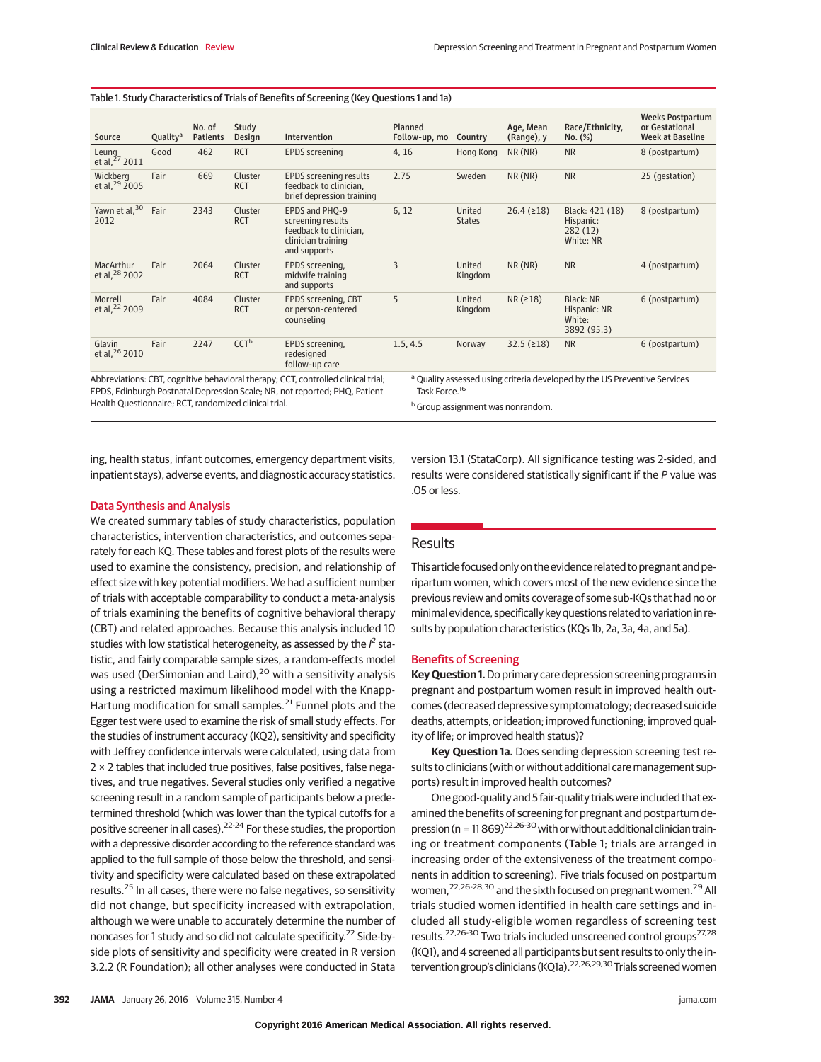| Source                                                | Quality <sup>a</sup> | No. of<br><b>Patients</b> | Study<br>Design       | Intervention                                                                                                                                                    | Planned<br>Follow-up, mo  | Country                 | Age, Mean<br>(Range), y                      | Race/Ethnicity,<br>No. (%)                                                           | <b>Weeks Postpartum</b><br>or Gestational<br><b>Week at Baseline</b> |
|-------------------------------------------------------|----------------------|---------------------------|-----------------------|-----------------------------------------------------------------------------------------------------------------------------------------------------------------|---------------------------|-------------------------|----------------------------------------------|--------------------------------------------------------------------------------------|----------------------------------------------------------------------|
| Leung<br>et al, <sup>27</sup> 2011                    | Good                 | 462                       | <b>RCT</b>            | <b>EPDS</b> screening                                                                                                                                           | 4, 16                     | Hong Kong               | NR(NR)                                       | <b>NR</b>                                                                            | 8 (postpartum)                                                       |
| Wickberg<br>et al, 29 2005                            | Fair                 | 669                       | Cluster<br><b>RCT</b> | <b>EPDS</b> screening results<br>feedback to clinician,<br>brief depression training                                                                            | 2.75                      | Sweden                  | NR(NR)                                       | <b>NR</b>                                                                            | 25 (gestation)                                                       |
| Yawn et al, 30<br>2012                                | Fair                 | 2343                      | Cluster<br><b>RCT</b> | EPDS and PHQ-9<br>screening results<br>feedback to clinician,<br>clinician training<br>and supports                                                             | 6, 12                     | United<br><b>States</b> | 26.4 (218)                                   | Black: 421 (18)<br>Hispanic:<br>282(12)<br>White: NR                                 | 8 (postpartum)                                                       |
| MacArthur<br>et al, <sup>28</sup> 2002                | Fair                 | 2064                      | Cluster<br><b>RCT</b> | EPDS screening,<br>midwife training<br>and supports                                                                                                             | 3                         | United<br>Kingdom       | NR(NR)                                       | <b>NR</b>                                                                            | 4 (postpartum)                                                       |
| Morrell<br>et al, 22 2009                             | Fair                 | 4084                      | Cluster<br><b>RCT</b> | EPDS screening, CBT<br>or person-centered<br>counseling                                                                                                         | 5                         | United<br>Kingdom       | NR(218)                                      | <b>Black: NR</b><br>Hispanic: NR<br>White:<br>3892 (95.3)                            | 6 (postpartum)                                                       |
| Glavin<br>et al, 26 2010                              | Fair                 | 2247                      | CCT <sup>b</sup>      | EPDS screening,<br>redesigned<br>follow-up care                                                                                                                 | 1.5, 4.5                  | Norway                  | 32.5(218)                                    | <b>NR</b>                                                                            | 6 (postpartum)                                                       |
|                                                       |                      |                           |                       | Abbreviations: CBT, cognitive behavioral therapy; CCT, controlled clinical trial;<br>EPDS, Edinburgh Postnatal Depression Scale; NR, not reported; PHQ, Patient | Task Force. <sup>16</sup> |                         |                                              | <sup>a</sup> Quality assessed using criteria developed by the US Preventive Services |                                                                      |
| Health Questionnaire; RCT, randomized clinical trial. |                      |                           |                       |                                                                                                                                                                 |                           |                         | <sup>b</sup> Group assignment was nonrandom. |                                                                                      |                                                                      |

ing, health status, infant outcomes, emergency department visits, inpatient stays), adverse events, and diagnostic accuracy statistics.

#### Data Synthesis and Analysis

We created summary tables of study characteristics, population characteristics, intervention characteristics, and outcomes separately for each KQ. These tables and forest plots of the results were used to examine the consistency, precision, and relationship of effect size with key potential modifiers. We had a sufficient number of trials with acceptable comparability to conduct a meta-analysis of trials examining the benefits of cognitive behavioral therapy (CBT) and related approaches. Because this analysis included 10 studies with low statistical heterogeneity, as assessed by the  $l^2$  statistic, and fairly comparable sample sizes, a random-effects model was used (DerSimonian and Laird), <sup>20</sup> with a sensitivity analysis using a restricted maximum likelihood model with the Knapp-Hartung modification for small samples.<sup>21</sup> Funnel plots and the Egger test were used to examine the risk of small study effects. For the studies of instrument accuracy (KQ2), sensitivity and specificity with Jeffrey confidence intervals were calculated, using data from 2 × 2 tables that included true positives, false positives, false negatives, and true negatives. Several studies only verified a negative screening result in a random sample of participants below a predetermined threshold (which was lower than the typical cutoffs for a positive screener in all cases).22-24 For these studies, the proportion with a depressive disorder according to the reference standard was applied to the full sample of those below the threshold, and sensitivity and specificity were calculated based on these extrapolated results.<sup>25</sup> In all cases, there were no false negatives, so sensitivity did not change, but specificity increased with extrapolation, although we were unable to accurately determine the number of noncases for 1 study and so did not calculate specificity.<sup>22</sup> Side-byside plots of sensitivity and specificity were created in R version 3.2.2 (R Foundation); all other analyses were conducted in Stata version 13.1 (StataCorp). All significance testing was 2-sided, and results were considered statistically significant if the P value was .05 or less.

## **Results**

This article focused only on the evidence related to pregnant and peripartum women, which covers most of the new evidence since the previous review and omits coverage of some sub-KQs that had no or minimalevidence, specifically key questions related tovariation in results by population characteristics (KQs 1b, 2a, 3a, 4a, and 5a).

#### Benefits of Screening

**Key Question 1.**Do primary care depression screening programs in pregnant and postpartum women result in improved health outcomes (decreased depressive symptomatology; decreased suicide deaths, attempts, or ideation; improved functioning; improved quality of life; or improved health status)?

**Key Question 1a.** Does sending depression screening test results to clinicians (with or without additional care management supports) result in improved health outcomes?

One good-quality and 5 fair-quality trials were included that examined the benefits of screening for pregnant and postpartum depression (n = 11 869)<sup>22,26-30</sup> with or without additional clinician training or treatment components (Table 1; trials are arranged in increasing order of the extensiveness of the treatment components in addition to screening). Five trials focused on postpartum women,<sup>22,26-28,30</sup> and the sixth focused on pregnant women.<sup>29</sup> All trials studied women identified in health care settings and included all study-eligible women regardless of screening test results.<sup>22,26-30</sup> Two trials included unscreened control groups<sup>27,28</sup> (KQ1), and 4 screened all participants but sent results to only the intervention group's clinicians (KQ1a).<sup>22,26,29,30</sup> Trials screened women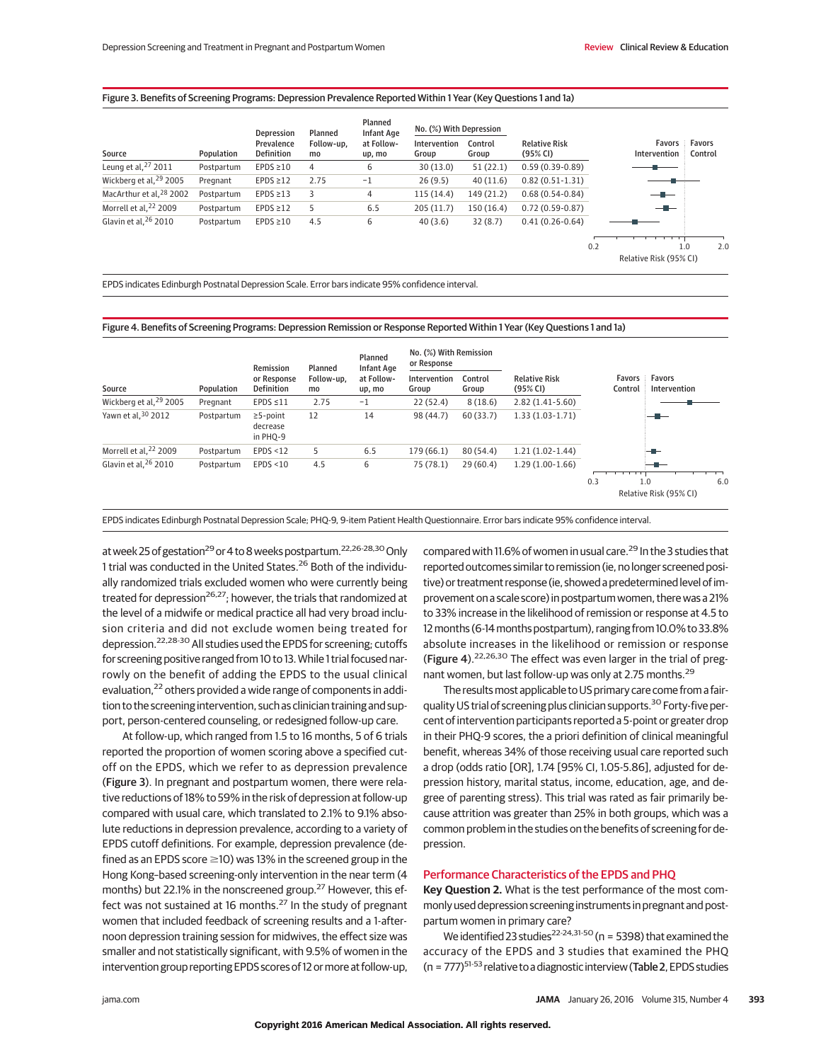#### Figure 3. Benefits of Screening Programs: Depression Prevalence Reported Within 1 Year (Key Questions 1 and 1a)

|                                     |            | Depression                      | Planned          | Planned<br><b>Infant Age</b> | No. (%) With Depression |                  |                                  |                               |                          |
|-------------------------------------|------------|---------------------------------|------------------|------------------------------|-------------------------|------------------|----------------------------------|-------------------------------|--------------------------|
| Source                              | Population | Prevalence<br><b>Definition</b> | Follow-up,<br>mo | at Follow-<br>up, mo         | Intervention<br>Group   | Control<br>Group | <b>Relative Risk</b><br>(95% CI) | Favors<br>Intervention        | <b>Favors</b><br>Control |
| Leung et al, <sup>27</sup> 2011     | Postpartum | EPDS $\geq 10$                  | 4                | 6                            | 30(13.0)                | 51(22.1)         | $0.59(0.39-0.89)$                |                               |                          |
| Wickberg et al, <sup>29</sup> 2005  | Pregnant   | EPDS $\geq$ 12                  | 2.75             | $-1$                         | 26(9.5)                 | 40(11.6)         | $0.82(0.51-1.31)$                |                               |                          |
| MacArthur et al, <sup>28</sup> 2002 | Postpartum | EPDS $\geq$ 13                  | 3                | 4                            | 115(14.4)               | 149 (21.2)       | $0.68(0.54-0.84)$                | $-$                           |                          |
| Morrell et al, <sup>22</sup> 2009   | Postpartum | EPDS $\geq$ 12                  | 5                | 6.5                          | 205(11.7)               | 150 (16.4)       | $0.72(0.59-0.87)$                | $-$                           |                          |
| Glavin et al, $26$ 2010             | Postpartum | EPDS $\geq 10$                  | 4.5              | 6                            | 40(3.6)                 | 32(8.7)          | $0.41(0.26-0.64)$                |                               |                          |
|                                     |            |                                 |                  |                              |                         |                  |                                  | 0.2<br>Relative Risk (95% CI) | 2.0<br>1.0               |

EPDS indicates Edinburgh Postnatal Depression Scale. Error bars indicate 95% confidence interval.

Figure 4. Benefits of Screening Programs: Depression Remission or Response Reported Within 1 Year (Key Questions 1 and 1a)

|                                    |            | Remission                              | Planned          | Planned<br><b>Infant Age</b> | No. (%) With Remission<br>or Response |                  |                                  |                                                    |
|------------------------------------|------------|----------------------------------------|------------------|------------------------------|---------------------------------------|------------------|----------------------------------|----------------------------------------------------|
| Source                             | Population | or Response<br><b>Definition</b>       | Follow-up,<br>mo | at Follow-<br>up, mo         | Intervention<br>Group                 | Control<br>Group | <b>Relative Risk</b><br>(95% CI) | Favors<br><b>Favors</b><br>Control<br>Intervention |
| Wickberg et al, <sup>29</sup> 2005 | Pregnant   | EPDS $\leq$ 11                         | 2.75             | $-1$                         | 22(52.4)                              | 8(18.6)          | $2.82(1.41-5.60)$                |                                                    |
| Yawn et al, 30 2012                | Postpartum | $\geq$ 5-point<br>decrease<br>in PHQ-9 | 12               | 14                           | 98 (44.7)                             | 60(33.7)         | $1.33(1.03-1.71)$                |                                                    |
| Morrell et al, <sup>22</sup> 2009  | Postpartum | EPDS < 12                              | 5                | 6.5                          | 179 (66.1)                            | 80(54.4)         | $1.21(1.02-1.44)$                |                                                    |
| Glavin et al, $26$ 2010            | Postpartum | EPDS < 10                              | 4.5              | 6                            | 75 (78.1)                             | 29(60.4)         | $1.29(1.00-1.66)$                | 0.3<br>6.0<br>1.0<br>Relative Risk (95% CI)        |

EPDS indicates Edinburgh Postnatal Depression Scale; PHQ-9, 9-item Patient Health Questionnaire. Error bars indicate 95% confidence interval.

at week 25 of gestation<sup>29</sup> or 4 to 8 weeks postpartum.<sup>22,26-28,30</sup> Only 1 trial was conducted in the United States.<sup>26</sup> Both of the individually randomized trials excluded women who were currently being treated for depression<sup>26,27</sup>; however, the trials that randomized at the level of a midwife or medical practice all had very broad inclusion criteria and did not exclude women being treated for depression.<sup>22,28-30</sup> All studies used the EPDS for screening; cutoffs for screening positive ranged from 10 to 13.While 1 trial focused narrowly on the benefit of adding the EPDS to the usual clinical evaluation,<sup>22</sup> others provided a wide range of components in addition to the screening intervention, such as clinician training and support, person-centered counseling, or redesigned follow-up care.

At follow-up, which ranged from 1.5 to 16 months, 5 of 6 trials reported the proportion of women scoring above a specified cutoff on the EPDS, which we refer to as depression prevalence (Figure 3). In pregnant and postpartum women, there were relative reductions of 18% to 59% in the risk of depression at follow-up compared with usual care, which translated to 2.1% to 9.1% absolute reductions in depression prevalence, according to a variety of EPDS cutoff definitions. For example, depression prevalence (defined as an EPDS score  $\geq$  10) was 13% in the screened group in the Hong Kong–based screening-only intervention in the near term (4 months) but 22.1% in the nonscreened group.<sup>27</sup> However, this effect was not sustained at 16 months.<sup>27</sup> In the study of pregnant women that included feedback of screening results and a 1-afternoon depression training session for midwives, the effect size was smaller and not statistically significant, with 9.5% of women in the intervention group reporting EPDS scores of 12 ormore at follow-up,

compared with 11.6% of women in usual care.<sup>29</sup> In the 3 studies that reported outcomes similar to remission (ie, no longer screened positive) or treatment response (ie, showed a predetermined level of improvement on a scale score) in postpartum women, there was a 21% to 33% increase in the likelihood of remission or response at 4.5 to 12months (6-14months postpartum), ranging from 10.0% to 33.8% absolute increases in the likelihood or remission or response (Figure 4).<sup>22,26,30</sup> The effect was even larger in the trial of pregnant women, but last follow-up was only at 2.75 months.<sup>29</sup>

The resultsmost applicable to US primary care come from a fairquality US trial of screening plus clinician supports.<sup>30</sup> Forty-five percent of intervention participants reported a 5-point or greater drop in their PHQ-9 scores, the a priori definition of clinical meaningful benefit, whereas 34% of those receiving usual care reported such a drop (odds ratio [OR], 1.74 [95% CI, 1.05-5.86], adjusted for depression history, marital status, income, education, age, and degree of parenting stress). This trial was rated as fair primarily because attrition was greater than 25% in both groups, which was a common problem in the studies on the benefits of screening for depression.

#### Performance Characteristics of the EPDS and PHQ

**Key Question 2.** What is the test performance of the most commonly used depression screening instruments in pregnant and postpartum women in primary care?

We identified 23 studies<sup>22-24,31-50</sup> (n = 5398) that examined the accuracy of the EPDS and 3 studies that examined the PHQ (n = 777)<sup>51-53</sup> relative to a diagnostic interview (Table 2, EPDS studies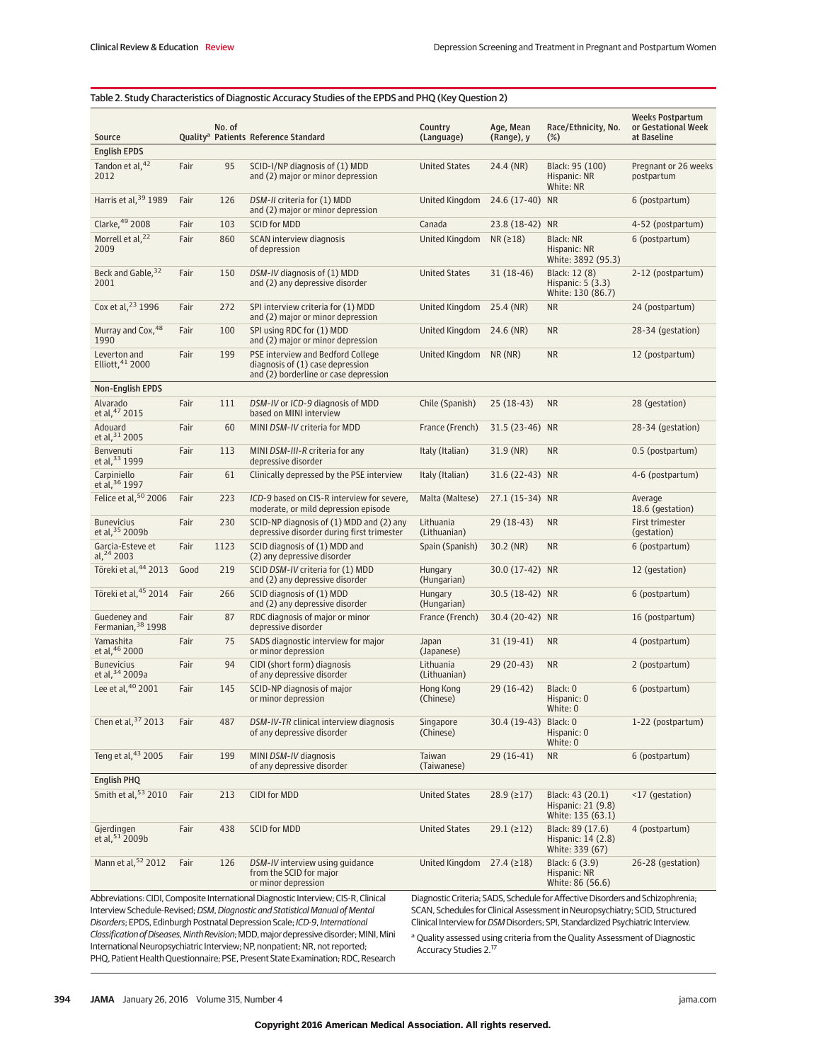| Source                                |      | No. of | Quality <sup>a</sup> Patients Reference Standard                                                                                                                                                                                                  | Country<br>(Language)             | Age, Mean<br>(Range), y | Race/Ethnicity, No.<br>$(\%)$                                                                                                                                                                                                                    | <b>Weeks Postpartum</b><br>or Gestational Week<br>at Baseline |
|---------------------------------------|------|--------|---------------------------------------------------------------------------------------------------------------------------------------------------------------------------------------------------------------------------------------------------|-----------------------------------|-------------------------|--------------------------------------------------------------------------------------------------------------------------------------------------------------------------------------------------------------------------------------------------|---------------------------------------------------------------|
| <b>English EPDS</b>                   |      |        |                                                                                                                                                                                                                                                   |                                   |                         |                                                                                                                                                                                                                                                  |                                                               |
| Tandon et al, 42<br>2012              | Fair | 95     | SCID-I/NP diagnosis of (1) MDD<br>and (2) major or minor depression                                                                                                                                                                               | <b>United States</b>              | 24.4 (NR)               | Black: 95 (100)<br>Hispanic: NR<br>White: NR                                                                                                                                                                                                     | Pregnant or 26 weeks<br>postpartum                            |
| Harris et al, 39 1989                 | Fair | 126    | DSM-II criteria for (1) MDD<br>and (2) major or minor depression                                                                                                                                                                                  | United Kingdom                    | 24.6 (17-40)            | <b>NR</b>                                                                                                                                                                                                                                        | 6 (postpartum)                                                |
| Clarke, 49 2008                       | Fair | 103    | <b>SCID for MDD</b>                                                                                                                                                                                                                               | Canada                            | 23.8 (18-42) NR         |                                                                                                                                                                                                                                                  | 4-52 (postpartum)                                             |
| Morrell et al, <sup>22</sup><br>2009  | Fair | 860    | SCAN interview diagnosis<br>of depression                                                                                                                                                                                                         | <b>United Kingdom</b>             | $NR$ ( $\geq$ 18)       | <b>Black: NR</b><br>Hispanic: NR<br>White: 3892 (95.3)                                                                                                                                                                                           | 6 (postpartum)                                                |
| Beck and Gable, <sup>32</sup><br>2001 | Fair | 150    | DSM-IV diagnosis of (1) MDD<br>and (2) any depressive disorder                                                                                                                                                                                    | <b>United States</b>              | $31(18-46)$             | Black: 12 (8)<br>Hispanic: $5(3.3)$<br>White: 130 (86.7)                                                                                                                                                                                         | 2-12 (postpartum)                                             |
| Cox et al, <sup>23</sup> 1996         | Fair | 272    | SPI interview criteria for (1) MDD<br>and (2) major or minor depression                                                                                                                                                                           | United Kingdom                    | 25.4 (NR)               | <b>NR</b>                                                                                                                                                                                                                                        | 24 (postpartum)                                               |
| Murray and Cox, 48<br>1990            | Fair | 100    | SPI using RDC for (1) MDD<br>and (2) major or minor depression                                                                                                                                                                                    | United Kingdom                    | 24.6 (NR)               | <b>NR</b>                                                                                                                                                                                                                                        | 28-34 (gestation)                                             |
| Leverton and<br>Elliott, 41 2000      | Fair | 199    | PSE interview and Bedford College<br>diagnosis of (1) case depression<br>and (2) borderline or case depression                                                                                                                                    | United Kingdom                    | NR (NR)                 | <b>NR</b>                                                                                                                                                                                                                                        | 12 (postpartum)                                               |
| <b>Non-English EPDS</b>               |      |        |                                                                                                                                                                                                                                                   |                                   |                         |                                                                                                                                                                                                                                                  |                                                               |
| Alvarado<br>et al, 47 2015            | Fair | 111    | DSM-IV or ICD-9 diagnosis of MDD<br>based on MINI interview                                                                                                                                                                                       | Chile (Spanish)                   | $25(18-43)$             | <b>NR</b>                                                                                                                                                                                                                                        | 28 (gestation)                                                |
| Adouard<br>et al, 31 2005             | Fair | 60     | MINI DSM-IV criteria for MDD                                                                                                                                                                                                                      | France (French)                   | 31.5 (23-46) NR         |                                                                                                                                                                                                                                                  | 28-34 (gestation)                                             |
| Benvenuti<br>et al, 33 1999           | Fair | 113    | MINI DSM-III-R criteria for any<br>depressive disorder                                                                                                                                                                                            | Italy (Italian)                   | 31.9 (NR)               | <b>NR</b>                                                                                                                                                                                                                                        | 0.5 (postpartum)                                              |
| Carpiniello<br>et al, $36$ 1997       | Fair | 61     | Clinically depressed by the PSE interview                                                                                                                                                                                                         | Italy (Italian)                   | 31.6 (22-43) NR         |                                                                                                                                                                                                                                                  | 4-6 (postpartum)                                              |
| Felice et al, 50 2006                 | Fair | 223    | ICD-9 based on CIS-R interview for severe,<br>moderate, or mild depression episode                                                                                                                                                                | Malta (Maltese)                   | 27.1 (15-34) NR         |                                                                                                                                                                                                                                                  | Average<br>18.6 (gestation)                                   |
| <b>Bunevicius</b><br>et al, 35 2009b  | Fair | 230    | SCID-NP diagnosis of (1) MDD and (2) any<br>depressive disorder during first trimester                                                                                                                                                            | Lithuania<br>(Lithuanian)         | 29 (18-43)              | <b>NR</b>                                                                                                                                                                                                                                        | First trimester<br>(gestation)                                |
| Garcia-Esteve et<br>al, 24 2003       | Fair | 1123   | SCID diagnosis of (1) MDD and<br>(2) any depressive disorder                                                                                                                                                                                      | Spain (Spanish)                   | 30.2 (NR)               | <b>NR</b>                                                                                                                                                                                                                                        | 6 (postpartum)                                                |
| Töreki et al, 44 2013                 | Good | 219    | SCID DSM-IV criteria for (1) MDD<br>and (2) any depressive disorder                                                                                                                                                                               | Hungary<br>(Hungarian)            | 30.0 (17-42) NR         |                                                                                                                                                                                                                                                  | 12 (gestation)                                                |
| Töreki et al, 45 2014                 | Fair | 266    | SCID diagnosis of (1) MDD<br>and (2) any depressive disorder                                                                                                                                                                                      | Hungary<br>(Hungarian)            | 30.5 (18-42) NR         |                                                                                                                                                                                                                                                  | 6 (postpartum)                                                |
| Guedeney and<br>Fermanian, 38 1998    | Fair | 87     | RDC diagnosis of major or minor<br>depressive disorder                                                                                                                                                                                            | France (French)                   | 30.4 (20-42) NR         |                                                                                                                                                                                                                                                  | 16 (postpartum)                                               |
| Yamashita<br>et al, 46 2000           | Fair | 75     | SADS diagnostic interview for major<br>or minor depression                                                                                                                                                                                        | Japan<br>(Japanese)               | $31(19-41)$             | <b>NR</b>                                                                                                                                                                                                                                        | 4 (postpartum)                                                |
| <b>Bunevicius</b><br>et al, 34 2009a  | Fair | 94     | CIDI (short form) diagnosis<br>of any depressive disorder                                                                                                                                                                                         | Lithuania<br>(Lithuanian)         | 29 (20-43)              | <b>NR</b>                                                                                                                                                                                                                                        | 2 (postpartum)                                                |
| Lee et al, 40 2001                    | Fair | 145    | SCID-NP diagnosis of major<br>or minor depression                                                                                                                                                                                                 | Hong Kong<br>(Chinese)            | $29(16-42)$             | Black: 0<br>Hispanic: 0<br>White: 0                                                                                                                                                                                                              | 6 (postpartum)                                                |
| Chen et al, 37 2013                   | Fair | 487    | DSM-IV-TR clinical interview diagnosis<br>of any depressive disorder                                                                                                                                                                              | Singapore<br>(Chinese)            | 30.4 (19-43) Black: 0   | Hispanic: 0<br>White: 0                                                                                                                                                                                                                          | 1-22 (postpartum)                                             |
| Teng et al, 43 2005                   | Fair | 199    | MINI DSM-IV diagnosis<br>of any depressive disorder                                                                                                                                                                                               | Taiwan<br>(Taiwanese)             | $29(16-41)$             | <b>NR</b>                                                                                                                                                                                                                                        | 6 (postpartum)                                                |
| <b>English PHQ</b>                    |      |        |                                                                                                                                                                                                                                                   |                                   |                         |                                                                                                                                                                                                                                                  |                                                               |
| Smith et al, 53 2010                  | Fair | 213    | <b>CIDI for MDD</b>                                                                                                                                                                                                                               | <b>United States</b>              | 28.9(≥17)               | Black: 43 (20.1)<br>Hispanic: 21 (9.8)<br>White: 135 (63.1)                                                                                                                                                                                      | <17 (gestation)                                               |
| Gjerdingen<br>et al, 51 2009b         | Fair | 438    | <b>SCID for MDD</b>                                                                                                                                                                                                                               | <b>United States</b>              | 29.1(212)               | Black: 89 (17.6)<br>Hispanic: 14 (2.8)<br>White: 339 (67)                                                                                                                                                                                        | 4 (postpartum)                                                |
| Mann et al, 52 2012                   | Fair | 126    | DSM-IV interview using guidance<br>from the SCID for major<br>or minor depression                                                                                                                                                                 | United Kingdom                    | $27.4 ( \geq 18)$       | Black: 6 (3.9)<br>Hispanic: NR<br>White: 86 (56.6)                                                                                                                                                                                               | 26-28 (gestation)                                             |
|                                       |      |        | Abbreviations: CIDI, Composite International Diagnostic Interview; CIS-R, Clinical<br>Interview Schedule-Revised; DSM, Diagnostic and Statistical Manual of Mental<br>Disorders; EPDS, Edinburgh Postnatal Depression Scale; ICD-9, International |                                   |                         | Diagnostic Criteria; SADS, Schedule for Affective Disorders and Schizophrenia;<br>SCAN, Schedules for Clinical Assessment in Neuropsychiatry; SCID, Structured<br>Clinical Interview for DSM Disorders; SPI, Standardized Psychiatric Interview. |                                                               |
|                                       |      |        | Classification of Diseases, Ninth Revision; MDD, major depressive disorder; MINI, Mini<br>International Neuropsychiatric Interview; NP, nonpatient; NR, not reported;                                                                             | Accuracy Studies 2. <sup>17</sup> |                         | <sup>a</sup> Quality assessed using criteria from the Quality Assessment of Diagnostic                                                                                                                                                           |                                                               |

PHQ, Patient Health Questionnaire; PSE, Present State Examination; RDC, Research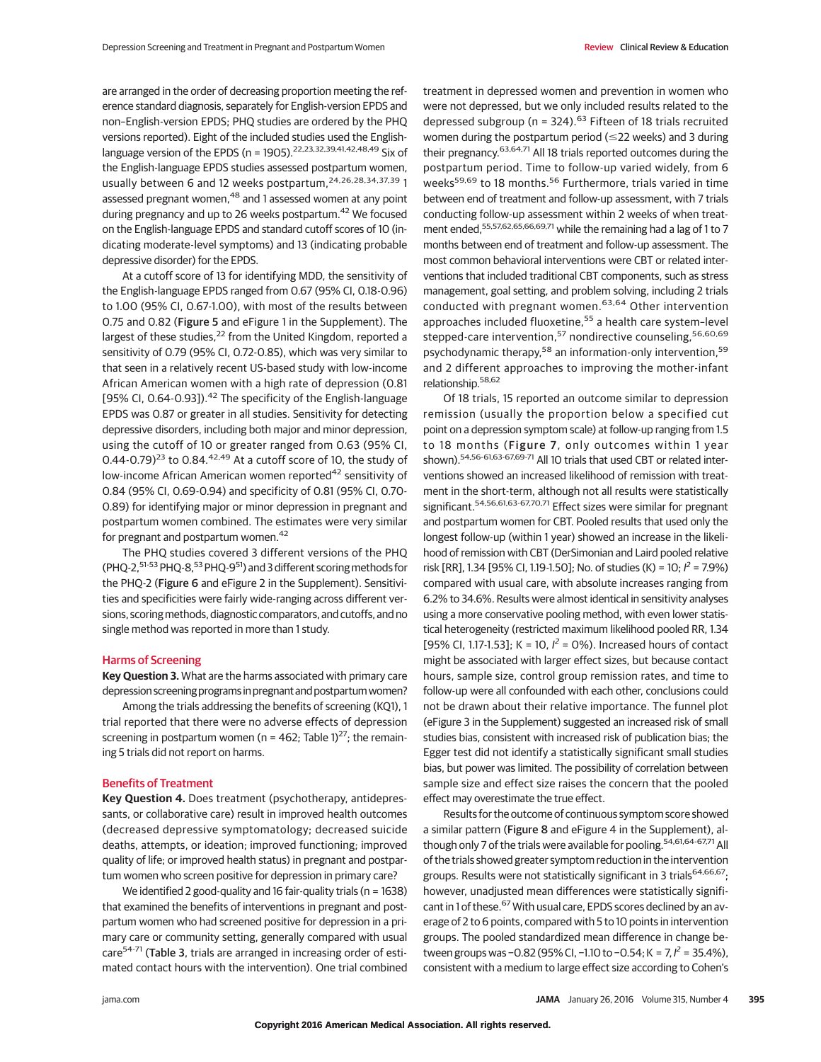are arranged in the order of decreasing proportion meeting the reference standard diagnosis, separately for English-version EPDS and non–English-version EPDS; PHQ studies are ordered by the PHQ versions reported). Eight of the included studies used the Englishlanguage version of the EPDS (n = 1905).<sup>22,23,32,39,41,42,48,49</sup> Six of the English-language EPDS studies assessed postpartum women, usually between 6 and 12 weeks postpartum,<sup>24,26,28,34,37,39</sup> 1 assessed pregnant women, <sup>48</sup> and 1 assessed women at any point during pregnancy and up to 26 weeks postpartum.<sup>42</sup> We focused on the English-language EPDS and standard cutoff scores of 10 (indicating moderate-level symptoms) and 13 (indicating probable depressive disorder) for the EPDS.

At a cutoff score of 13 for identifying MDD, the sensitivity of the English-language EPDS ranged from 0.67 (95% CI, 0.18-0.96) to 1.00 (95% CI, 0.67-1.00), with most of the results between 0.75 and 0.82 (Figure 5 and eFigure 1 in the Supplement). The largest of these studies, $^{22}$  from the United Kingdom, reported a sensitivity of 0.79 (95% CI, 0.72-0.85), which was very similar to that seen in a relatively recent US-based study with low-income African American women with a high rate of depression (0.81 [95% CI, 0.64-0.93]).<sup>42</sup> The specificity of the English-language EPDS was 0.87 or greater in all studies. Sensitivity for detecting depressive disorders, including both major and minor depression, using the cutoff of 10 or greater ranged from 0.63 (95% CI, 0.44-0.79)<sup>23</sup> to 0.84.<sup>42,49</sup> At a cutoff score of 10, the study of low-income African American women reported<sup>42</sup> sensitivity of 0.84 (95% CI, 0.69-0.94) and specificity of 0.81 (95% CI, 0.70- 0.89) for identifying major or minor depression in pregnant and postpartum women combined. The estimates were very similar for pregnant and postpartum women.<sup>42</sup>

The PHQ studies covered 3 different versions of the PHQ (PHQ-2,<sup>51-53</sup> PHQ-8,<sup>53</sup> PHQ-9<sup>51</sup>) and 3 different scoring methods for the PHQ-2 (Figure 6 and eFigure 2 in the Supplement). Sensitivities and specificities were fairly wide-ranging across different versions, scoringmethods, diagnostic comparators, and cutoffs, and no single method was reported in more than 1 study.

#### Harms of Screening

**Key Question 3.** What are the harms associated with primary care depression screening programs in pregnantand postpartumwomen?

Among the trials addressing the benefits of screening (KQ1), 1 trial reported that there were no adverse effects of depression screening in postpartum women ( $n = 462$ ; Table 1)<sup>27</sup>; the remaining 5 trials did not report on harms.

#### Benefits of Treatment

**Key Question 4.** Does treatment (psychotherapy, antidepressants, or collaborative care) result in improved health outcomes (decreased depressive symptomatology; decreased suicide deaths, attempts, or ideation; improved functioning; improved quality of life; or improved health status) in pregnant and postpartum women who screen positive for depression in primary care?

We identified 2 good-quality and 16 fair-quality trials (n = 1638) that examined the benefits of interventions in pregnant and postpartum women who had screened positive for depression in a primary care or community setting, generally compared with usual care<sup>54-71</sup> (Table 3, trials are arranged in increasing order of estimated contact hours with the intervention). One trial combined treatment in depressed women and prevention in women who were not depressed, but we only included results related to the depressed subgroup ( $n = 324$ ).<sup>63</sup> Fifteen of 18 trials recruited women during the postpartum period ( $\leq$ 22 weeks) and 3 during their pregnancy.<sup>63,64,71</sup> All 18 trials reported outcomes during the postpartum period. Time to follow-up varied widely, from 6 weeks<sup>59,69</sup> to 18 months.<sup>56</sup> Furthermore, trials varied in time between end of treatment and follow-up assessment, with 7 trials conducting follow-up assessment within 2 weeks of when treatment ended,<sup>55,57,62,65,66,69,71</sup> while the remaining had a lag of 1 to 7 months between end of treatment and follow-up assessment. The most common behavioral interventions were CBT or related interventions that included traditional CBT components, such as stress management, goal setting, and problem solving, including 2 trials conducted with pregnant women.<sup>63,64</sup> Other intervention approaches included fluoxetine,<sup>55</sup> a health care system-level stepped-care intervention, $57$  nondirective counseling,  $56,60,69$ psychodynamic therapy,<sup>58</sup> an information-only intervention,<sup>59</sup> and 2 different approaches to improving the mother-infant relationship.58,62

Of 18 trials, 15 reported an outcome similar to depression remission (usually the proportion below a specified cut point on a depression symptom scale) at follow-up ranging from 1.5 to 18 months (Figure 7, only outcomes within 1 year shown).54,56-61,63-67,69-71 All 10 trials that used CBT or related interventions showed an increased likelihood of remission with treatment in the short-term, although not all results were statistically significant.<sup>54,56,61,63-67,70,71</sup> Effect sizes were similar for pregnant and postpartum women for CBT. Pooled results that used only the longest follow-up (within 1 year) showed an increase in the likelihood of remission with CBT (DerSimonian and Laird pooled relative risk [RR], 1.34 [95% CI, 1.19-1.50]; No. of studies (K) = 10;  $l^2$  = 7.9%) compared with usual care, with absolute increases ranging from 6.2% to 34.6%. Results were almost identical in sensitivity analyses using a more conservative pooling method, with even lower statistical heterogeneity (restricted maximum likelihood pooled RR, 1.34 [95% CI, 1.17-1.53]; K = 10,  $l^2$  = 0%). Increased hours of contact might be associated with larger effect sizes, but because contact hours, sample size, control group remission rates, and time to follow-up were all confounded with each other, conclusions could not be drawn about their relative importance. The funnel plot (eFigure 3 in the Supplement) suggested an increased risk of small studies bias, consistent with increased risk of publication bias; the Egger test did not identify a statistically significant small studies bias, but power was limited. The possibility of correlation between sample size and effect size raises the concern that the pooled effect may overestimate the true effect.

Results for the outcome of continuous symptom score showed a similar pattern (Figure 8 and eFigure 4 in the Supplement), although only 7 of the trials were available for pooling.<sup>54,61,64-67,71</sup> All of the trials showed greater symptom reduction in the intervention groups. Results were not statistically significant in 3 trials<sup>64,66,67</sup>; however, unadjusted mean differences were statistically significant in 1 of these.<sup>67</sup> With usual care, EPDS scores declined by an average of 2 to 6 points, compared with 5 to 10 points in intervention groups. The pooled standardized mean difference in change between groups was −0.82 (95% CI, −1.10 to −0.54; K = 7,  $l^2$  = 35.4%), consistent with a medium to large effect size according to Cohen's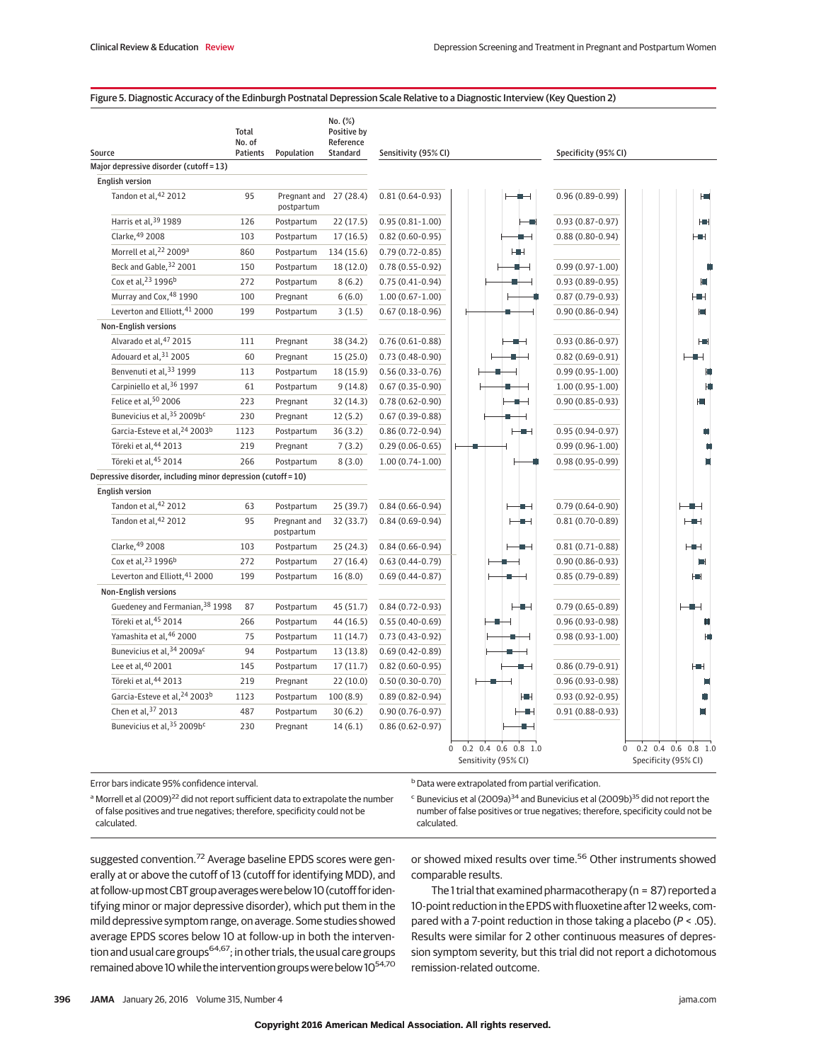| Source                                                        | Total<br>No. of<br>Patients | Population                 | No. (%)<br>Positive by<br>Reference<br>Standard | Sensitivity (95% CI) |                                   |                          | Specificity (95% CI) |          |                       |  |
|---------------------------------------------------------------|-----------------------------|----------------------------|-------------------------------------------------|----------------------|-----------------------------------|--------------------------|----------------------|----------|-----------------------|--|
| Major depressive disorder (cutoff = 13)                       |                             |                            |                                                 |                      |                                   |                          |                      |          |                       |  |
| <b>English version</b>                                        |                             |                            |                                                 |                      |                                   |                          |                      |          |                       |  |
| Tandon et al, 42 2012                                         | 95                          | Pregnant and<br>postpartum | 27(28.4)                                        | $0.81(0.64 - 0.93)$  |                                   |                          | $0.96(0.89 - 0.99)$  |          |                       |  |
| Harris et al, 39 1989                                         | 126                         | Postpartum                 | 22(17.5)                                        | $0.95(0.81 - 1.00)$  |                                   |                          | $0.93(0.87 - 0.97)$  |          |                       |  |
| Clarke, 49 2008                                               | 103                         | Postpartum                 | 17(16.5)                                        | $0.82(0.60-0.95)$    |                                   |                          | $0.88(0.80 - 0.94)$  |          |                       |  |
| Morrell et al, 22 2009a                                       | 860                         | Postpartum                 | 134 (15.6)                                      | $0.79(0.72 - 0.85)$  |                                   | HН                       |                      |          |                       |  |
| Beck and Gable, 32 2001                                       | 150                         | Postpartum                 | 18 (12.0)                                       | $0.78(0.55 - 0.92)$  |                                   |                          | $0.99(0.97 - 1.00)$  |          |                       |  |
| Cox et al, 23 1996 <sup>b</sup>                               | 272                         | Postpartum                 | 8(6.2)                                          | $0.75(0.41 - 0.94)$  |                                   |                          | $0.93(0.89 - 0.95)$  |          |                       |  |
| Murray and Cox, 48 1990                                       | 100                         | Pregnant                   | 6(6.0)                                          | $1.00(0.67-1.00)$    |                                   |                          | $0.87(0.79 - 0.93)$  |          |                       |  |
| Leverton and Elliott, 41 2000                                 | 199                         | Postpartum                 | 3(1.5)                                          | $0.67(0.18-0.96)$    |                                   |                          | $0.90(0.86 - 0.94)$  |          |                       |  |
| <b>Non-English versions</b>                                   |                             |                            |                                                 |                      |                                   |                          |                      |          |                       |  |
| Alvarado et al, 47 2015                                       | 111                         | Pregnant                   | 38 (34.2)                                       | $0.76(0.61 - 0.88)$  |                                   |                          | $0.93(0.86 - 0.97)$  |          |                       |  |
| Adouard et al, 31 2005                                        | 60                          | Pregnant                   | 15(25.0)                                        | $0.73(0.48-0.90)$    |                                   |                          | $0.82(0.69 - 0.91)$  |          |                       |  |
| Benvenuti et al, 33 1999                                      | 113                         | Postpartum                 | 18 (15.9)                                       | $0.56(0.33 - 0.76)$  |                                   |                          | $0.99(0.95 - 1.00)$  |          |                       |  |
| Carpiniello et al, 36 1997                                    | 61                          | Postpartum                 | 9(14.8)                                         | $0.67(0.35 - 0.90)$  |                                   |                          | $1.00(0.95 - 1.00)$  |          |                       |  |
| Felice et al, 50 2006                                         | 223                         | Pregnant                   | 32(14.3)                                        | $0.78(0.62 - 0.90)$  |                                   |                          | $0.90(0.85 - 0.93)$  |          |                       |  |
| Bunevicius et al, 35 2009bc                                   | 230                         | Pregnant                   | 12(5.2)                                         | $0.67(0.39 - 0.88)$  |                                   |                          |                      |          |                       |  |
| Garcia-Esteve et al, 24 2003b                                 | 1123                        | Postpartum                 | 36(3.2)                                         | $0.86(0.72 - 0.94)$  |                                   | $\overline{\phantom{a}}$ | $0.95(0.94 - 0.97)$  |          |                       |  |
| Töreki et al, 44 2013                                         | 219                         | Pregnant                   | 7(3.2)                                          | $0.29(0.06 - 0.65)$  |                                   |                          | $0.99(0.96 - 1.00)$  |          |                       |  |
| Töreki et al, 45 2014                                         | 266                         | Postpartum                 | 8(3.0)                                          | $1.00(0.74-1.00)$    |                                   |                          | $0.98(0.95 - 0.99)$  |          |                       |  |
| Depressive disorder, including minor depression (cutoff = 10) |                             |                            |                                                 |                      |                                   |                          |                      |          |                       |  |
| <b>English version</b>                                        |                             |                            |                                                 |                      |                                   |                          |                      |          |                       |  |
| Tandon et al, 42 2012                                         | 63                          | Postpartum                 | 25 (39.7)                                       | $0.84(0.66 - 0.94)$  |                                   | ╺                        | $0.79(0.64-0.90)$    |          |                       |  |
| Tandon et al, 42 2012                                         | 95                          | Pregnant and<br>postpartum | 32 (33.7)                                       | $0.84(0.69-0.94)$    |                                   | ▄                        | $0.81(0.70 - 0.89)$  |          | нн                    |  |
| Clarke, 49 2008                                               | 103                         | Postpartum                 | 25(24.3)                                        | $0.84(0.66 - 0.94)$  |                                   | $-$                      | $0.81(0.71 - 0.88)$  |          | ⊢⊣                    |  |
| Cox et al, 23 1996 <sup>b</sup>                               | 272                         | Postpartum                 | 27(16.4)                                        | $0.63(0.44 - 0.79)$  |                                   |                          | $0.90(0.86 - 0.93)$  |          |                       |  |
| Leverton and Elliott, 41 2000                                 | 199                         | Postpartum                 | 16(8.0)                                         | $0.69(0.44 - 0.87)$  |                                   |                          | $0.85(0.79 - 0.89)$  |          |                       |  |
| <b>Non-English versions</b>                                   |                             |                            |                                                 |                      |                                   |                          |                      |          |                       |  |
| Guedeney and Fermanian, 38 1998                               | 87                          | Postpartum                 | 45 (51.7)                                       | $0.84(0.72 - 0.93)$  |                                   | $\vdash \blacksquare$    | $0.79(0.65 - 0.89)$  |          |                       |  |
| Töreki et al, 45 2014                                         | 266                         | Postpartum                 | 44 (16.5)                                       | $0.55(0.40-0.69)$    |                                   |                          | $0.96(0.93 - 0.98)$  |          |                       |  |
| Yamashita et al, 46 2000                                      | 75                          | Postpartum                 | 11(14.7)                                        | $0.73(0.43 - 0.92)$  |                                   |                          | $0.98(0.93 - 1.00)$  |          |                       |  |
| Bunevicius et al, 34 2009ac                                   | 94                          | Postpartum                 | 13(13.8)                                        | $0.69(0.42 - 0.89)$  |                                   |                          |                      |          |                       |  |
| Lee et al, 40 2001                                            | 145                         | Postpartum                 | 17(11.7)                                        | $0.82(0.60-0.95)$    |                                   | $\overline{\phantom{a}}$ | $0.86(0.79-0.91)$    |          |                       |  |
| Töreki et al, 44 2013                                         | 219                         | Pregnant                   | 22(10.0)                                        | $0.50(0.30-0.70)$    |                                   |                          | $0.96(0.93 - 0.98)$  |          |                       |  |
| Garcia-Esteve et al, <sup>24</sup> 2003 <sup>b</sup>          | 1123                        | Postpartum                 | 100(8.9)                                        | $0.89(0.82 - 0.94)$  |                                   | HН                       | $0.93(0.92 - 0.95)$  |          |                       |  |
| Chen et al, 37 2013                                           | 487                         | Postpartum                 | 30(6.2)                                         | $0.90(0.76 - 0.97)$  |                                   | ₩                        | $0.91(0.88 - 0.93)$  |          |                       |  |
| Bunevicius et al, 35 2009bc                                   | 230                         | Pregnant                   | 14(6.1)                                         | $0.86(0.62 - 0.97)$  |                                   |                          |                      |          |                       |  |
|                                                               |                             |                            |                                                 |                      | $0.2$ 0.4 0.6 0.8 1.0<br>$\Omega$ |                          |                      | $\Omega$ | $0.2$ 0.4 0.6 0.8 1.0 |  |
|                                                               |                             |                            |                                                 |                      | Sensitivity (95% CI)              |                          |                      |          | Specificity (95% CI)  |  |

#### Figure 5. Diagnostic Accuracy of the Edinburgh Postnatal Depression Scale Relative to a Diagnostic Interview (Key Question 2)

Error bars indicate 95% confidence interval.

<sup>b</sup> Data were extrapolated from partial verification.

<sup>a</sup> Morrell et al (2009)<sup>22</sup> did not report sufficient data to extrapolate the number of false positives and true negatives; therefore, specificity could not be calculated.

 $\epsilon$  Bunevicius et al (2009a)<sup>34</sup> and Bunevicius et al (2009b)<sup>35</sup> did not report the number of false positives or true negatives; therefore, specificity could not be calculated.

suggested convention.<sup>72</sup> Average baseline EPDS scores were generally at or above the cutoff of 13 (cutoff for identifying MDD), and at follow-upmost CBT groupaverageswere below 10 (cutoff for identifying minor or major depressive disorder), which put them in the mild depressive symptom range, on average. Some studies showed average EPDS scores below 10 at follow-up in both the intervention and usual care groups<sup>64,67</sup>; in other trials, the usual care groups remained above 10 while the intervention groups were below 10<sup>54,70</sup> or showed mixed results over time.<sup>56</sup> Other instruments showed comparable results.

The 1 trial that examined pharmacotherapy (n = 87) reported a 10-point reduction in the EPDS with fluoxetine after 12 weeks, compared with a 7-point reduction in those taking a placebo ( $P < .05$ ). Results were similar for 2 other continuous measures of depression symptom severity, but this trial did not report a dichotomous remission-related outcome.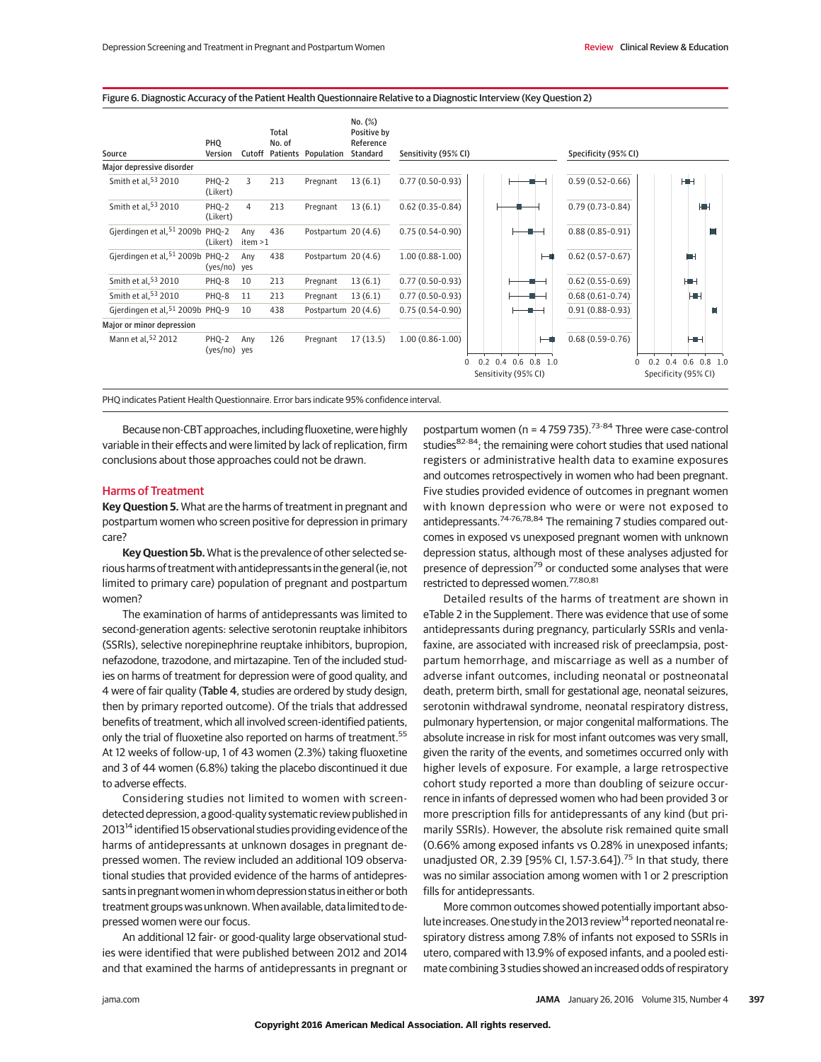Figure 6. Diagnostic Accuracy of the Patient Health Questionnaire Relative to a Diagnostic Interview (Key Question 2)

| Source                                      | PHQ<br>Version        |                 | Total<br>No. of | Cutoff Patients Population | No. (%)<br>Positive by<br>Reference<br>Standard | Sensitivity (95% CI) |     |                                           | Specificity (95% CI) |     |                                           |      |   |  |
|---------------------------------------------|-----------------------|-----------------|-----------------|----------------------------|-------------------------------------------------|----------------------|-----|-------------------------------------------|----------------------|-----|-------------------------------------------|------|---|--|
| Major depressive disorder                   |                       |                 |                 |                            |                                                 |                      |     |                                           |                      |     |                                           |      |   |  |
| Smith et al, 53 2010                        | PHQ-2<br>(Likert)     | 3               | 213             | Pregnant                   | 13(6.1)                                         | $0.77(0.50-0.93)$    |     |                                           | $0.59(0.52 - 0.66)$  |     | HH.                                       |      |   |  |
| Smith et al, 53 2010                        | PHQ-2<br>(Likert)     | 4               | 213             | Pregnant                   | 13(6.1)                                         | $0.62(0.35-0.84)$    |     |                                           | $0.79(0.73 - 0.84)$  |     |                                           | ю    |   |  |
| Gjerdingen et al, <sup>51</sup> 2009b PHQ-2 | (Likert)              | Any<br>item > 1 | 436             | Postpartum 20 (4.6)        |                                                 | $0.75(0.54-0.90)$    |     |                                           | $0.88(0.85 - 0.91)$  |     |                                           |      | Ш |  |
| Gjerdingen et al, <sup>51</sup> 2009b PHQ-2 | (yes/no) yes          | Any             | 438             | Postpartum 20 (4.6)        |                                                 | $1.00(0.88-1.00)$    |     |                                           | $0.62(0.57-0.67)$    |     | łН                                        |      |   |  |
| Smith et al, 53 2010                        | PHQ-8                 | 10              | 213             | Pregnant                   | 13(6.1)                                         | $0.77(0.50-0.93)$    |     |                                           | $0.62(0.55-0.69)$    |     | HШ                                        |      |   |  |
| Smith et al, 53 2010                        | PHQ-8                 | 11              | 213             | Pregnant                   | 13(6.1)                                         | $0.77(0.50-0.93)$    |     |                                           | $0.68(0.61-0.74)$    |     |                                           | HTH. |   |  |
| Gjerdingen et al, $51$ 2009b PHQ-9          |                       | 10              | 438             | Postpartum 20 (4.6)        |                                                 | $0.75(0.54-0.90)$    |     |                                           | $0.91(0.88-0.93)$    |     |                                           |      |   |  |
| Major or minor depression                   |                       |                 |                 |                            |                                                 |                      |     |                                           |                      |     |                                           |      |   |  |
| Mann et al, 52 2012                         | PHQ-2<br>(yes/no) yes | Any             | 126             | Pregnant                   | 17(13.5)                                        | $1.00(0.86 - 1.00)$  |     |                                           | $0.68(0.59-0.76)$    |     |                                           | ╺    |   |  |
|                                             |                       |                 |                 |                            |                                                 | 0                    | 0.2 | $0.4$ 0.6 0.8 1.0<br>Sensitivity (95% CI) | U                    | 0.2 | $0.4$ 0.6 0.8 1.0<br>Specificity (95% CI) |      |   |  |

PHQ indicates Patient Health Questionnaire. Error bars indicate 95% confidence interval.

Because non-CBT approaches, including fluoxetine, were highly variable in their effects and were limited by lack of replication, firm conclusions about those approaches could not be drawn.

#### Harms of Treatment

**Key Question 5.** What are the harms of treatment in pregnant and postpartum women who screen positive for depression in primary care?

**Key Question 5b.** What is the prevalence of other selected serious harms of treatment with antidepressants in the general (ie, not limited to primary care) population of pregnant and postpartum women?

The examination of harms of antidepressants was limited to second-generation agents: selective serotonin reuptake inhibitors (SSRIs), selective norepinephrine reuptake inhibitors, bupropion, nefazodone, trazodone, and mirtazapine. Ten of the included studies on harms of treatment for depression were of good quality, and 4 were of fair quality (Table 4, studies are ordered by study design, then by primary reported outcome). Of the trials that addressed benefits of treatment, which all involved screen-identified patients, only the trial of fluoxetine also reported on harms of treatment.<sup>55</sup> At 12 weeks of follow-up, 1 of 43 women (2.3%) taking fluoxetine and 3 of 44 women (6.8%) taking the placebo discontinued it due to adverse effects.

Considering studies not limited to women with screendetected depression, a good-quality systematic review published in 201314 identified 15 observational studies providing evidence of the harms of antidepressants at unknown dosages in pregnant depressed women. The review included an additional 109 observational studies that provided evidence of the harms of antidepressants in pregnant women in whom depression status in either or both treatment groups was unknown.When available, data limited to depressed women were our focus.

An additional 12 fair- or good-quality large observational studies were identified that were published between 2012 and 2014 and that examined the harms of antidepressants in pregnant or

postpartum women ( $n = 4759735$ ).<sup>73-84</sup> Three were case-control studies<sup>82-84</sup>; the remaining were cohort studies that used national registers or administrative health data to examine exposures and outcomes retrospectively in women who had been pregnant. Five studies provided evidence of outcomes in pregnant women with known depression who were or were not exposed to antidepressants.<sup>74-76,78,84</sup> The remaining 7 studies compared outcomes in exposed vs unexposed pregnant women with unknown depression status, although most of these analyses adjusted for presence of depression<sup>79</sup> or conducted some analyses that were restricted to depressed women.<sup>77,80,81</sup>

Detailed results of the harms of treatment are shown in eTable 2 in the Supplement. There was evidence that use of some antidepressants during pregnancy, particularly SSRIs and venlafaxine, are associated with increased risk of preeclampsia, postpartum hemorrhage, and miscarriage as well as a number of adverse infant outcomes, including neonatal or postneonatal death, preterm birth, small for gestational age, neonatal seizures, serotonin withdrawal syndrome, neonatal respiratory distress, pulmonary hypertension, or major congenital malformations. The absolute increase in risk for most infant outcomes was very small, given the rarity of the events, and sometimes occurred only with higher levels of exposure. For example, a large retrospective cohort study reported a more than doubling of seizure occurrence in infants of depressed women who had been provided 3 or more prescription fills for antidepressants of any kind (but primarily SSRIs). However, the absolute risk remained quite small (0.66% among exposed infants vs 0.28% in unexposed infants; unadjusted OR, 2.39 [95% CI, 1.57-3.64]).<sup>75</sup> In that study, there was no similar association among women with 1 or 2 prescription fills for antidepressants.

More common outcomes showed potentially important absolute increases. One study in the 2013 review<sup>14</sup> reported neonatal respiratory distress among 7.8% of infants not exposed to SSRIs in utero, compared with 13.9% of exposed infants, and a pooled estimate combining 3 studies showed an increased odds of respiratory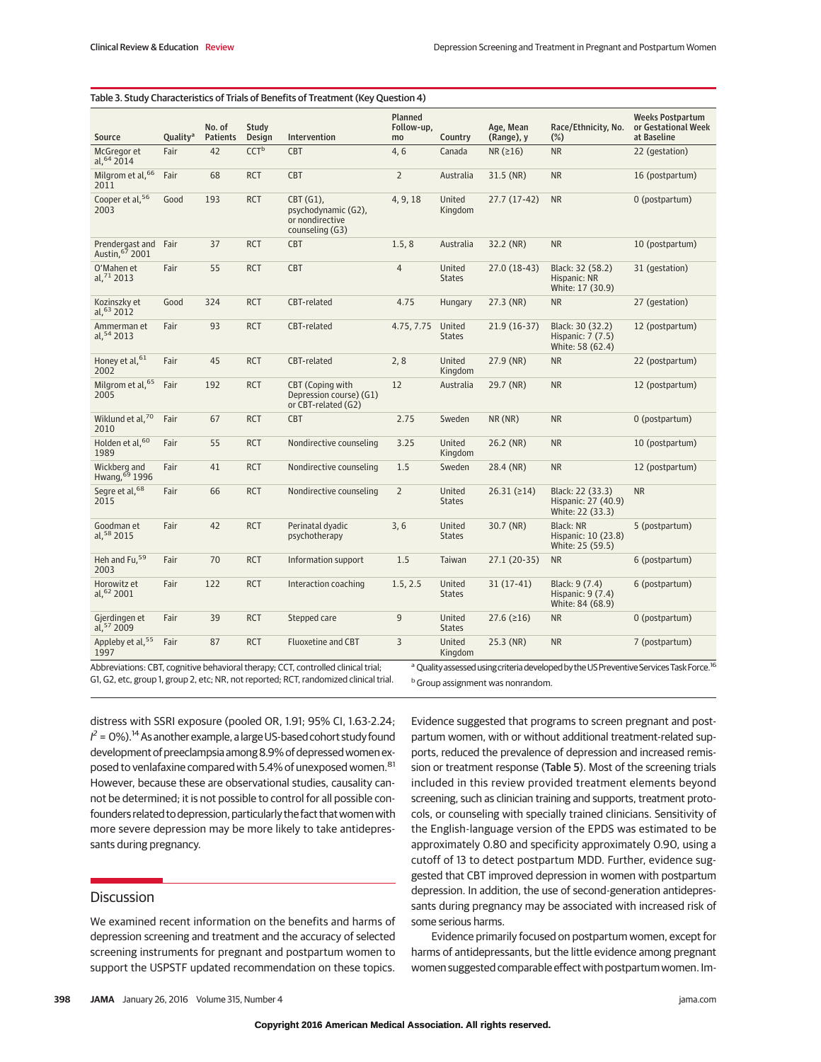|                                      |                      | No. of          | Study            |                                                                           | Planned<br>Follow-up, |                         | Age, Mean     | Race/Ethnicity, No.                                         | <b>Weeks Postpartum</b><br>or Gestational Week |
|--------------------------------------|----------------------|-----------------|------------------|---------------------------------------------------------------------------|-----------------------|-------------------------|---------------|-------------------------------------------------------------|------------------------------------------------|
| Source                               | Quality <sup>a</sup> | <b>Patients</b> | Design           | Intervention                                                              | mo                    | Country                 | (Range), y    | $(\%)$                                                      | at Baseline                                    |
| McGregor et<br>al, 64 2014           | Fair                 | 42              | CCT <sup>b</sup> | <b>CBT</b>                                                                | 4, 6                  | Canada                  | NR(216)       | <b>NR</b>                                                   | 22 (gestation)                                 |
| Milgrom et al, 66<br>2011            | Fair                 | 68              | <b>RCT</b>       | <b>CBT</b>                                                                | $\overline{2}$        | Australia               | 31.5 (NR)     | <b>NR</b>                                                   | 16 (postpartum)                                |
| Cooper et al, 56<br>2003             | Good                 | 193             | <b>RCT</b>       | $CBT(G1)$ ,<br>psychodynamic (G2),<br>or nondirective<br>counseling (G3)  | 4, 9, 18              | United<br>Kingdom       | $27.7(17-42)$ | <b>NR</b>                                                   | 0 (postpartum)                                 |
| Prendergast and<br>Austin, 67 2001   | Fair                 | 37              | <b>RCT</b>       | <b>CBT</b>                                                                | 1.5, 8                | Australia               | 32.2 (NR)     | <b>NR</b>                                                   | 10 (postpartum)                                |
| O'Mahen et<br>al, $71$ 2013          | Fair                 | 55              | <b>RCT</b>       | <b>CBT</b>                                                                | $\overline{4}$        | United<br><b>States</b> | $27.0(18-43)$ | Black: 32 (58.2)<br>Hispanic: NR<br>White: 17 (30.9)        | 31 (gestation)                                 |
| Kozinszky et<br>al, $63$ 2012        | Good                 | 324             | <b>RCT</b>       | CBT-related                                                               | 4.75                  | Hungary                 | $27.3$ (NR)   | <b>NR</b>                                                   | 27 (gestation)                                 |
| Ammerman et<br>al, $54$ 2013         | Fair                 | 93              | <b>RCT</b>       | CBT-related                                                               | 4.75, 7.75            | United<br><b>States</b> | $21.9(16-37)$ | Black: 30 (32.2)<br>Hispanic: 7 (7.5)<br>White: 58 (62.4)   | 12 (postpartum)                                |
| Honey et al, 61<br>2002              | Fair                 | 45              | <b>RCT</b>       | CBT-related                                                               | 2, 8                  | United<br>Kingdom       | 27.9 (NR)     | <b>NR</b>                                                   | 22 (postpartum)                                |
| Milgrom et al, 65<br>2005            | Fair                 | 192             | <b>RCT</b>       | <b>CBT</b> (Coping with<br>Depression course) (G1)<br>or CBT-related (G2) | 12                    | Australia               | 29.7 (NR)     | <b>NR</b>                                                   | 12 (postpartum)                                |
| Wiklund et al, <sup>70</sup><br>2010 | Fair                 | 67              | <b>RCT</b>       | <b>CBT</b>                                                                | 2.75                  | Sweden                  | NR (NR)       | <b>NR</b>                                                   | 0 (postpartum)                                 |
| Holden et al, 60<br>1989             | Fair                 | 55              | <b>RCT</b>       | Nondirective counseling                                                   | 3.25                  | United<br>Kingdom       | 26.2 (NR)     | <b>NR</b>                                                   | 10 (postpartum)                                |
| Wickberg and<br>Hwang, 69 1996       | Fair                 | 41              | <b>RCT</b>       | Nondirective counseling                                                   | 1.5                   | Sweden                  | 28.4 (NR)     | <b>NR</b>                                                   | 12 (postpartum)                                |
| Segre et al, 68<br>2015              | Fair                 | 66              | <b>RCT</b>       | Nondirective counseling                                                   | $\overline{2}$        | United<br><b>States</b> | 26.31 (≥14)   | Black: 22 (33.3)<br>Hispanic: 27 (40.9)<br>White: 22 (33.3) | <b>NR</b>                                      |
| Goodman et<br>al, 58 2015            | Fair                 | 42              | <b>RCT</b>       | Perinatal dyadic<br>psychotherapy                                         | 3, 6                  | United<br><b>States</b> | 30.7 (NR)     | Black: NR<br>Hispanic: 10 (23.8)<br>White: 25 (59.5)        | 5 (postpartum)                                 |
| Heh and Fu, 59<br>2003               | Fair                 | 70              | <b>RCT</b>       | Information support                                                       | 1.5                   | Taiwan                  | 27.1 (20-35)  | <b>NR</b>                                                   | 6 (postpartum)                                 |
| Horowitz et<br>al, $62$ 2001         | Fair                 | 122             | <b>RCT</b>       | Interaction coaching                                                      | 1.5, 2.5              | United<br><b>States</b> | $31(17-41)$   | Black: 9 (7.4)<br>Hispanic: 9 (7.4)<br>White: 84 (68.9)     | 6 (postpartum)                                 |
| Gjerdingen et<br>$aL57$ 2009         | Fair                 | 39              | <b>RCT</b>       | Stepped care                                                              | 9                     | United<br><b>States</b> | 27.6(216)     | <b>NR</b>                                                   | 0 (postpartum)                                 |
| Appleby et al, 55<br>1997            | Fair                 | 87              | <b>RCT</b>       | <b>Fluoxetine and CBT</b>                                                 | 3                     | United<br>Kingdom       | 25.3 (NR)     | <b>NR</b>                                                   | 7 (postpartum)                                 |

Abbreviations: CBT, cognitive behavioral therapy; CCT, controlled clinical trial; G1, G2, etc, group 1, group 2, etc; NR, not reported; RCT, randomized clinical trial. <sup>a</sup> Quality assessed using criteria developed by the US Preventive Services Task Force.<sup>16</sup> **b** Group assignment was nonrandom.

distress with SSRI exposure (pooled OR, 1.91; 95% CI, 1.63-2.24;  $I^2$  = 0%).<sup>14</sup> As another example, a large US-based cohort study found development of preeclampsia among 8.9% of depressed women exposed to venlafaxine compared with 5.4% of unexposed women.<sup>81</sup> However, because these are observational studies, causality cannot be determined; it is not possible to control for all possible confounders related to depression, particularly the fact that women with more severe depression may be more likely to take antidepressants during pregnancy.

## **Discussion**

We examined recent information on the benefits and harms of depression screening and treatment and the accuracy of selected screening instruments for pregnant and postpartum women to support the USPSTF updated recommendation on these topics. Evidence suggested that programs to screen pregnant and postpartum women, with or without additional treatment-related supports, reduced the prevalence of depression and increased remission or treatment response (Table 5). Most of the screening trials included in this review provided treatment elements beyond screening, such as clinician training and supports, treatment protocols, or counseling with specially trained clinicians. Sensitivity of the English-language version of the EPDS was estimated to be approximately 0.80 and specificity approximately 0.90, using a cutoff of 13 to detect postpartum MDD. Further, evidence suggested that CBT improved depression in women with postpartum depression. In addition, the use of second-generation antidepressants during pregnancy may be associated with increased risk of some serious harms.

Evidence primarily focused on postpartum women, except for harms of antidepressants, but the little evidence among pregnant women suggested comparable effect with postpartum women. Im-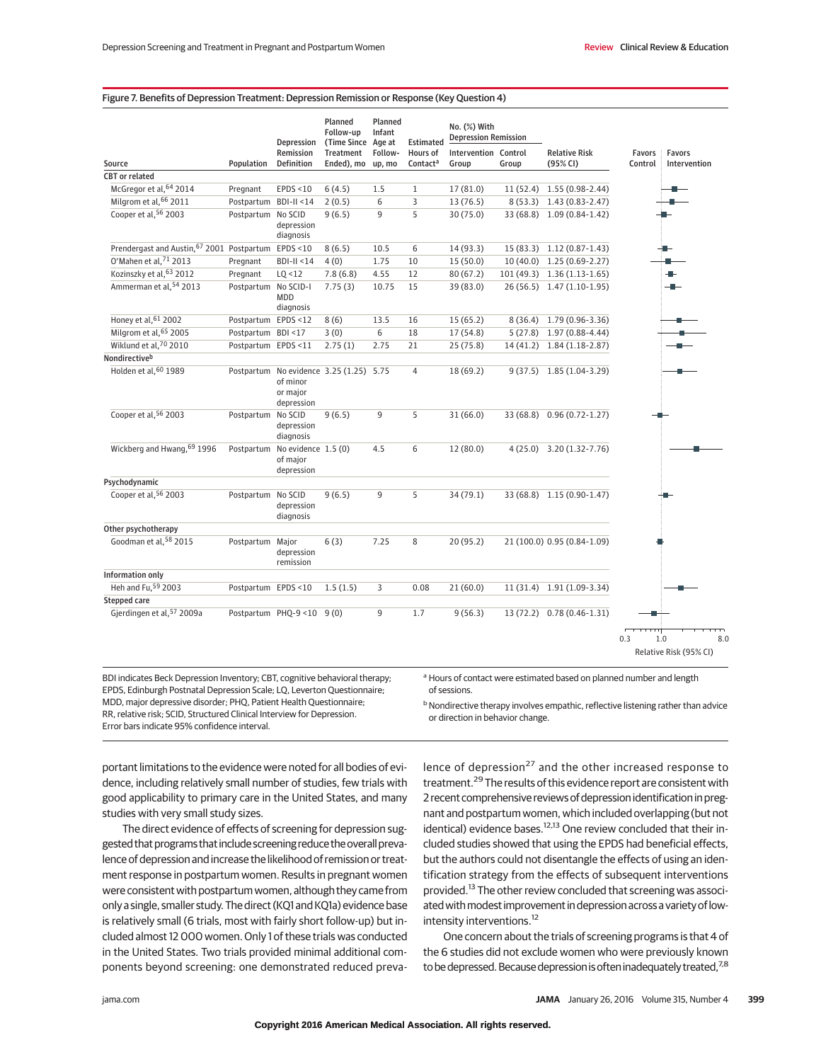### Figure 7. Benefits of Depression Treatment: Depression Remission or Response (Key Question 4)

|                                            |                       | Depression                                                                    | Planned<br>Follow-up<br>(Time Since Age at | Planned<br>Infant | Estimated            | No. (%) With<br><b>Depression Remission</b> |       |                             |               |                                        |
|--------------------------------------------|-----------------------|-------------------------------------------------------------------------------|--------------------------------------------|-------------------|----------------------|---------------------------------------------|-------|-----------------------------|---------------|----------------------------------------|
|                                            |                       | Remission                                                                     | <b>Treatment</b>                           | Follow-           | Hours of             | <b>Intervention Control</b>                 |       | <b>Relative Risk</b>        | <b>Favors</b> | Favors                                 |
| Source                                     | Population            | Definition                                                                    | Ended), mo up, mo                          |                   | Contact <sup>a</sup> | Group                                       | Group | (95% CI)                    | Control       | Intervention                           |
| <b>CBT</b> or related                      |                       |                                                                               |                                            |                   |                      |                                             |       |                             |               |                                        |
| McGregor et al, 64 2014                    | Pregnant              | EPDS < 10                                                                     | 6(4.5)                                     | 1.5               | $\mathbf{1}$         | 17 (81.0)                                   |       | 11 (52.4) 1.55 (0.98-2.44)  |               | $\overline{\phantom{a}}$               |
| Milgrom et al, 66 2011                     | Postpartum BDI-II <14 |                                                                               | 2(0.5)                                     | 6                 | 3                    | 13 (76.5)                                   |       | 8 (53.3) 1.43 (0.83-2.47)   |               |                                        |
| Cooper et al, 56 2003                      | Postpartum No SCID    | depression<br>diagnosis                                                       | 9(6.5)                                     | 9                 | 5                    | 30(75.0)                                    |       | 33 (68.8) 1.09 (0.84-1.42)  |               |                                        |
| Prendergast and Austin, 67 2001 Postpartum |                       | EPDS <10                                                                      | 8(6.5)                                     | 10.5              | 6                    | 14(93.3)                                    |       | 15 (83.3) 1.12 (0.87-1.43)  |               |                                        |
| O'Mahen et al, 71 2013                     | Pregnant              | $BDI-II < 14$                                                                 | 4(0)                                       | 1.75              | 10                   | 15(50.0)                                    |       | 10 (40.0) 1.25 (0.69-2.27)  |               |                                        |
| Kozinszky et al, 63 2012                   | Pregnant              | LQ < 12                                                                       | 7.8(6.8)                                   | 4.55              | 12                   | 80(67.2)                                    |       | 101 (49.3) 1.36 (1.13-1.65) |               |                                        |
| Ammerman et al. <sup>54</sup> 2013         | Postpartum            | No SCID-I<br>MDD<br>diagnosis                                                 | 7.75(3)                                    | 10.75             | 15                   | 39 (83.0)                                   |       | 26 (56.5) 1.47 (1.10-1.95)  |               |                                        |
| Honey et al, 61 2002                       | Postpartum EPDS <12   |                                                                               | 8(6)                                       | 13.5              | 16                   | 15(65.2)                                    |       | 8 (36.4) 1.79 (0.96-3.36)   |               |                                        |
| Milgrom et al, 65 2005                     | Postpartum BDI <17    |                                                                               | 3(0)                                       | 6                 | 18                   | 17 (54.8)                                   |       | 5 (27.8) 1.97 (0.88-4.44)   |               |                                        |
| Wiklund et al, 70 2010                     | Postpartum EPDS <11   |                                                                               | 2.75(1)                                    | 2.75              | 21                   | 25(75.8)                                    |       | 14 (41.2) 1.84 (1.18-2.87)  |               |                                        |
| Nondirective <sup>b</sup>                  |                       |                                                                               |                                            |                   |                      |                                             |       |                             |               |                                        |
| Holden et al, 60 1989                      |                       | Postpartum No evidence 3.25 (1.25) 5.75<br>of minor<br>or major<br>depression |                                            |                   | $\overline{4}$       | 18 (69.2)                                   |       | $9(37.5)$ 1.85 (1.04-3.29)  |               |                                        |
| Cooper et al, 56 2003                      | Postpartum No SCID    | depression<br>diagnosis                                                       | 9(6.5)                                     | 9                 | 5                    | 31(66.0)                                    |       | 33 (68.8) 0.96 (0.72-1.27)  |               |                                        |
| Wickberg and Hwang, 69 1996                | Postpartum            | No evidence 1.5 (0)<br>of major<br>depression                                 |                                            | 4.5               | 6                    | 12(80.0)                                    |       | 4 (25.0) 3.20 (1.32-7.76)   |               |                                        |
| Psychodynamic                              |                       |                                                                               |                                            |                   |                      |                                             |       |                             |               |                                        |
| Cooper et al, 56 2003                      | Postpartum No SCID    | depression<br>diagnosis                                                       | 9(6.5)                                     | 9                 | 5                    | 34 (79.1)                                   |       | 33 (68.8) 1.15 (0.90-1.47)  |               |                                        |
| Other psychotherapy                        |                       |                                                                               |                                            |                   |                      |                                             |       |                             |               |                                        |
| Goodman et al, 58 2015                     | Postpartum            | Major<br>depression<br>remission                                              | 6(3)                                       | 7.25              | 8                    | 20 (95.2)                                   |       | 21 (100.0) 0.95 (0.84-1.09) |               |                                        |
| Information only                           |                       |                                                                               |                                            |                   |                      |                                             |       |                             |               |                                        |
| Heh and Fu, 59 2003                        | Postpartum EPDS <10   |                                                                               | 1.5(1.5)                                   | 3                 | 0.08                 | 21(60.0)                                    |       | 11 (31.4) 1.91 (1.09-3.34)  |               |                                        |
| Stepped care                               |                       |                                                                               |                                            |                   |                      |                                             |       |                             |               |                                        |
| Gjerdingen et al, 57 2009a                 |                       | Postpartum PHQ-9 < 10 9 (0)                                                   |                                            | 9                 | 1.7                  | 9(56.3)                                     |       | 13 (72.2) 0.78 (0.46-1.31)  |               |                                        |
|                                            |                       |                                                                               |                                            |                   |                      |                                             |       |                             | 0.3           | $1.0$<br>8.0<br>Relative Risk (95% CI) |

BDI indicates Beck Depression Inventory; CBT, cognitive behavioral therapy; EPDS, Edinburgh Postnatal Depression Scale; LQ, Leverton Questionnaire; MDD, major depressive disorder; PHQ, Patient Health Questionnaire; RR, relative risk; SCID, Structured Clinical Interview for Depression. Error bars indicate 95% confidence interval.

a Hours of contact were estimated based on planned number and length of sessions.

**b** Nondirective therapy involves empathic, reflective listening rather than advice or direction in behavior change.

portant limitations to the evidence were noted for all bodies of evidence, including relatively small number of studies, few trials with good applicability to primary care in the United States, and many studies with very small study sizes.

The direct evidence of effects of screening for depression suggested that programs that include screening reduce the overall prevalence of depression and increase the likelihood of remission or treatment response in postpartum women. Results in pregnant women were consistent with postpartum women, although they came from only a single, smaller study. The direct (KQ1 and KQ1a) evidence base is relatively small (6 trials, most with fairly short follow-up) but included almost 12 000 women. Only 1 of these trials was conducted in the United States. Two trials provided minimal additional components beyond screening: one demonstrated reduced prevalence of depression<sup>27</sup> and the other increased response to treatment.<sup>29</sup> The results of this evidence report are consistent with 2 recent comprehensive reviews of depression identification in pregnant and postpartum women, which included overlapping (but not identical) evidence bases.12,13 One review concluded that their included studies showed that using the EPDS had beneficial effects, but the authors could not disentangle the effects of using an identification strategy from the effects of subsequent interventions provided.<sup>13</sup> The other review concluded that screening was associated with modest improvement in depression across a variety of lowintensity interventions.<sup>12</sup>

One concern about the trials of screening programs is that 4 of the 6 studies did not exclude women who were previously known to be depressed. Because depression is often inadequately treated,<sup>7,8</sup>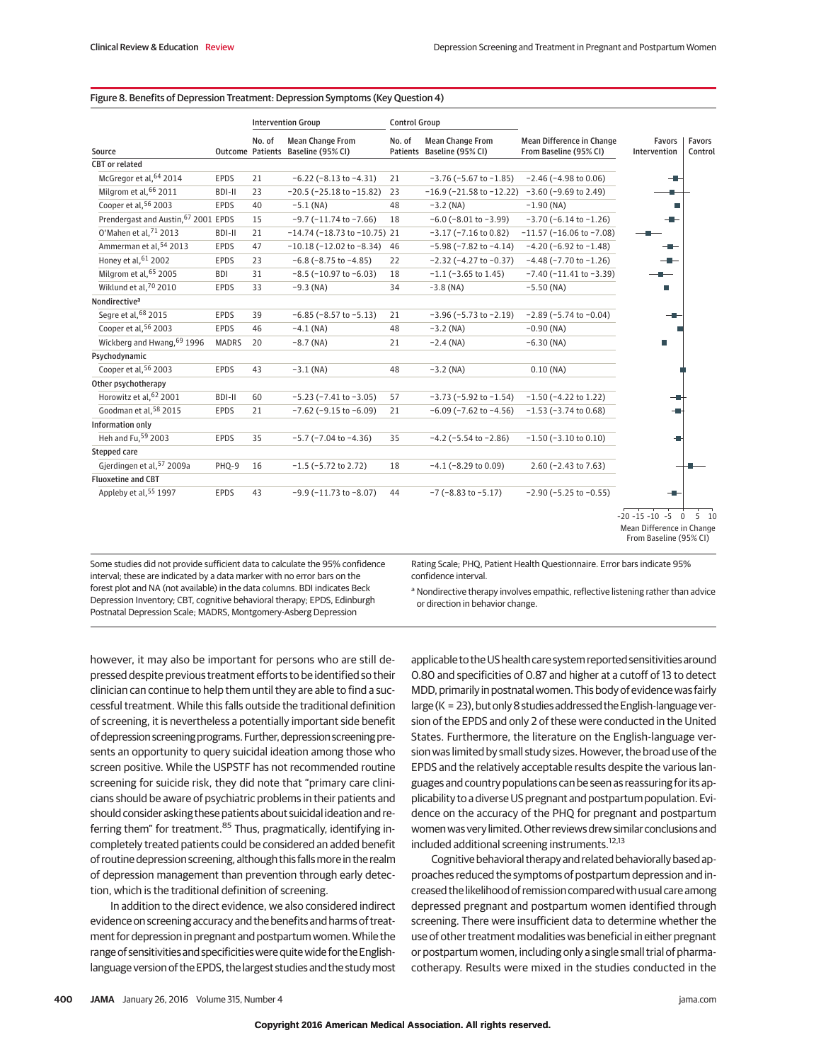|                                      |              |        | <b>Intervention Group</b>                                     | <b>Control Group</b> |                                                       |                                                            |                        |                   |
|--------------------------------------|--------------|--------|---------------------------------------------------------------|----------------------|-------------------------------------------------------|------------------------------------------------------------|------------------------|-------------------|
| Source                               |              | No. of | <b>Mean Change From</b><br>Outcome Patients Baseline (95% CI) | No. of               | <b>Mean Change From</b><br>Patients Baseline (95% CI) | <b>Mean Difference in Change</b><br>From Baseline (95% CI) | Favors<br>Intervention | Favors<br>Control |
| <b>CBT</b> or related                |              |        |                                                               |                      |                                                       |                                                            |                        |                   |
| McGregor et al, 64 2014              | <b>EPDS</b>  | 21     | $-6.22$ ( $-8.13$ to $-4.31$ )                                | 21                   | $-3.76$ ( $-5.67$ to $-1.85$ )                        | $-2.46$ ( $-4.98$ to 0.06)                                 | -9                     |                   |
| Milgrom et al, 66 2011               | BDI-II       | 23     | $-20.5$ ( $-25.18$ to $-15.82$ )                              | 23                   | $-16.9$ ( $-21.58$ to $-12.22$ )                      | $-3.60$ ( $-9.69$ to 2.49)                                 |                        |                   |
| Cooper et al. <sup>56</sup> 2003     | <b>EPDS</b>  | 40     | $-5.1$ (NA)                                                   | 48                   | $-3.2$ (NA)                                           | $-1.90$ (NA)                                               |                        |                   |
| Prendergast and Austin, 67 2001 EPDS |              | 15     | $-9.7$ ( $-11.74$ to $-7.66$ )                                | 18                   | $-6.0$ ( $-8.01$ to $-3.99$ )                         | $-3.70$ ( $-6.14$ to $-1.26$ )                             |                        |                   |
| O'Mahen et al. <sup>71</sup> 2013    | BDI-II       | 21     | $-14.74$ ( $-18.73$ to $-10.75$ ) 21                          |                      | $-3.17$ ( $-7.16$ to 0.82)                            | $-11.57$ ( $-16.06$ to $-7.08$ )                           |                        |                   |
| Ammerman et al, 54 2013              | <b>EPDS</b>  | 47     | $-10.18(-12.02$ to $-8.34)$                                   | 46                   | $-5.98 (-7.82 to -4.14)$                              | $-4.20$ (-6.92 to $-1.48$ )                                |                        |                   |
| Honey et al, <sup>61</sup> 2002      | <b>EPDS</b>  | 23     | $-6.8$ ( $-8.75$ to $-4.85$ )                                 | 22                   | $-2.32$ ( $-4.27$ to $-0.37$ )                        | $-4.48$ ( $-7.70$ to $-1.26$ )                             | --                     |                   |
| Milgrom et al, 65 2005               | <b>BDI</b>   | 31     | $-8.5$ ( $-10.97$ to $-6.03$ )                                | 18                   | $-1.1$ ( $-3.65$ to 1.45)                             | $-7.40$ ( $-11.41$ to $-3.39$ )                            |                        |                   |
| Wiklund et al. <sup>70</sup> 2010    | <b>EPDS</b>  | 33     | $-9.3$ (NA)                                                   | 34                   | $-3.8$ (NA)                                           | $-5.50$ (NA)                                               | П                      |                   |
| Nondirective <sup>a</sup>            |              |        |                                                               |                      |                                                       |                                                            |                        |                   |
| Segre et al. <sup>68</sup> 2015      | <b>EPDS</b>  | 39     | $-6.85$ ( $-8.57$ to $-5.13$ )                                | 21                   | $-3.96$ ( $-5.73$ to $-2.19$ )                        | $-2.89$ ( $-5.74$ to $-0.04$ )                             |                        |                   |
| Cooper et al. <sup>56</sup> 2003     | <b>EPDS</b>  | 46     | $-4.1$ (NA)                                                   | 48                   | $-3.2$ (NA)                                           | $-0.90$ (NA)                                               |                        |                   |
| Wickberg and Hwang, 69 1996          | <b>MADRS</b> | 20     | $-8.7$ (NA)                                                   | 21                   | $-2.4$ (NA)                                           | $-6.30$ (NA)                                               | П                      |                   |
| Psychodynamic                        |              |        |                                                               |                      |                                                       |                                                            |                        |                   |
| Cooper et al. <sup>56</sup> 2003     | <b>EPDS</b>  | 43     | $-3.1$ (NA)                                                   | 48                   | $-3.2$ (NA)                                           | $0.10$ (NA)                                                |                        |                   |
| Other psychotherapy                  |              |        |                                                               |                      |                                                       |                                                            |                        |                   |
| Horowitz et al, 62 2001              | BDI-II       | 60     | $-5.23$ ( $-7.41$ to $-3.05$ )                                | 57                   | $-3.73$ ( $-5.92$ to $-1.54$ )                        | $-1.50$ ( $-4.22$ to 1.22)                                 |                        |                   |
| Goodman et al, 58 2015               | <b>EPDS</b>  | 21     | $-7.62$ ( $-9.15$ to $-6.09$ )                                | 21                   | $-6.09$ ( $-7.62$ to $-4.56$ )                        | $-1.53$ ( $-3.74$ to 0.68)                                 |                        |                   |
| Information only                     |              |        |                                                               |                      |                                                       |                                                            |                        |                   |
| Heh and Fu. <sup>59</sup> 2003       | <b>EPDS</b>  | 35     | $-5.7$ ( $-7.04$ to $-4.36$ )                                 | 35                   | $-4.2$ ( $-5.54$ to $-2.86$ )                         | $-1.50$ ( $-3.10$ to 0.10)                                 |                        |                   |
| Stepped care                         |              |        |                                                               |                      |                                                       |                                                            |                        |                   |
| Gjerdingen et al, 57 2009a           | PHQ-9        | 16     | $-1.5$ ( $-5.72$ to 2.72)                                     | 18                   | $-4.1$ ( $-8.29$ to 0.09)                             | $2.60$ (-2.43 to 7.63)                                     |                        |                   |
| <b>Fluoxetine and CBT</b>            |              |        |                                                               |                      |                                                       |                                                            |                        |                   |
| Appleby et al, 55 1997               | <b>EPDS</b>  | 43     | $-9.9$ ( $-11.73$ to $-8.07$ )                                | 44                   | $-7$ ( $-8.83$ to $-5.17$ )                           | $-2.90$ ( $-5.25$ to $-0.55$ )                             |                        |                   |

#### Figure 8. Benefits of Depression Treatment: Depression Symptoms (Key Question 4)

 $-20 - 15 - 10 - 5$  0 5 10 Mean Difference in Change From Baseline (95% CI)

Some studies did not provide sufficient data to calculate the 95% confidence interval; these are indicated by a data marker with no error bars on the forest plot and NA (not available) in the data columns. BDI indicates Beck Depression Inventory; CBT, cognitive behavioral therapy; EPDS, Edinburgh Postnatal Depression Scale; MADRS, Montgomery-Asberg Depression

Rating Scale; PHQ, Patient Health Questionnaire. Error bars indicate 95% confidence interval.

<sup>a</sup> Nondirective therapy involves empathic, reflective listening rather than advice or direction in behavior change.

however, it may also be important for persons who are still depressed despite previous treatment efforts to be identified so their clinician can continue to help them until they are able to find a successful treatment. While this falls outside the traditional definition of screening, it is nevertheless a potentially important side benefit of depression screening programs. Further, depression screening presents an opportunity to query suicidal ideation among those who screen positive. While the USPSTF has not recommended routine screening for suicide risk, they did note that "primary care clinicians should be aware of psychiatric problems in their patients and should consider asking these patients about suicidal ideation and referring them" for treatment.<sup>85</sup> Thus, pragmatically, identifying incompletely treated patients could be considered an added benefit of routine depression screening, although this fallsmore in the realm of depression management than prevention through early detection, which is the traditional definition of screening.

In addition to the direct evidence, we also considered indirect evidence on screening accuracy and the benefits and harms of treatment for depression in pregnant and postpartum women.While the range of sensitivities and specificities were quite wide for the Englishlanguage version of the EPDS, the largest studies and the studymost applicable to the US health care system reported sensitivities around 0.80 and specificities of 0.87 and higher at a cutoff of 13 to detect MDD, primarily in postnatal women. This body of evidence was fairly large (K = 23), but only 8 studies addressed the English-language version of the EPDS and only 2 of these were conducted in the United States. Furthermore, the literature on the English-language version was limited by small study sizes. However, the broad use of the EPDS and the relatively acceptable results despite the various languages and country populations can be seen as reassuring for its applicability to a diverse US pregnant and postpartum population. Evidence on the accuracy of the PHQ for pregnant and postpartum women was very limited. Other reviews drew similar conclusions and included additional screening instruments.<sup>12,13</sup>

Cognitive behavioral therapy and related behaviorally based approaches reduced the symptoms of postpartum depression and increased the likelihood of remission compared with usual care among depressed pregnant and postpartum women identified through screening. There were insufficient data to determine whether the use of other treatment modalities was beneficial in either pregnant or postpartum women, including only a single small trial of pharmacotherapy. Results were mixed in the studies conducted in the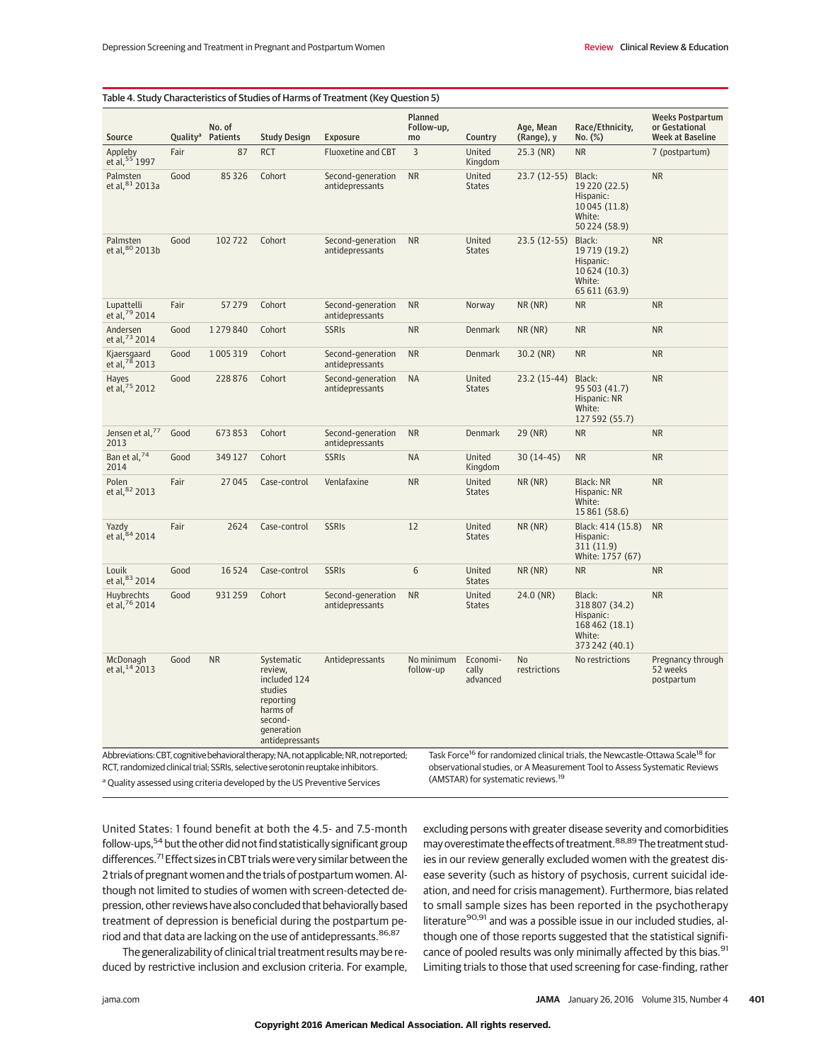| Source                              | Quality <sup>a</sup> | No. of<br><b>Patients</b> | <b>Study Design</b>                                                                                                   | <b>Exposure</b>                      | Planned<br>Follow-up,<br>mo | Country                       | Age, Mean<br>(Range), y   | Race/Ethnicity,<br>$No. (\%)$                                                       | <b>Weeks Postpartum</b><br>or Gestational<br><b>Week at Baseline</b> |
|-------------------------------------|----------------------|---------------------------|-----------------------------------------------------------------------------------------------------------------------|--------------------------------------|-----------------------------|-------------------------------|---------------------------|-------------------------------------------------------------------------------------|----------------------------------------------------------------------|
| Appleby<br>et al, 55 1997           | Fair                 | 87                        | <b>RCT</b>                                                                                                            | <b>Fluoxetine and CBT</b>            | 3                           | United<br>Kingdom             | 25.3 (NR)                 | <b>NR</b>                                                                           | 7 (postpartum)                                                       |
| Palmsten<br>et al, $81$ 2013a       | Good                 | 85326                     | Cohort                                                                                                                | Second-generation<br>antidepressants | <b>NR</b>                   | United<br><b>States</b>       | $23.7(12-55)$             | Black:<br>19 2 20 (22.5)<br>Hispanic:<br>10045 (11.8)<br>White:<br>50 224 (58.9)    | <b>NR</b>                                                            |
| Palmsten<br>et al, 80 2013b         | Good                 | 102722                    | Cohort                                                                                                                | Second-generation<br>antidepressants | <b>NR</b>                   | United<br><b>States</b>       | $23.5(12-55)$             | Black:<br>19719 (19.2)<br>Hispanic:<br>10624 (10.3)<br>White:<br>65 611 (63.9)      | <b>NR</b>                                                            |
| Lupattelli<br>et al, 79 2014        | Fair                 | 57279                     | Cohort                                                                                                                | Second-generation<br>antidepressants | <b>NR</b>                   | Norway                        | NR(NR)                    | <b>NR</b>                                                                           | <b>NR</b>                                                            |
| Andersen<br>et al, 73 2014          | Good                 | 1279840                   | Cohort                                                                                                                | <b>SSRIs</b>                         | <b>NR</b>                   | Denmark                       | NR(NR)                    | <b>NR</b>                                                                           | <b>NR</b>                                                            |
| Kjaersgaard<br>et al, 78<br>2013    | Good                 | 1005319                   | Cohort                                                                                                                | Second-generation<br>antidepressants | <b>NR</b>                   | Denmark                       | $30.2$ (NR)               | <b>NR</b>                                                                           | <b>NR</b>                                                            |
| Hayes<br>et al, 75 2012             | Good                 | 228876                    | Cohort                                                                                                                | Second-generation<br>antidepressants | <b>NA</b>                   | United<br><b>States</b>       | 23.2 (15-44)              | Black:<br>95 503 (41.7)<br>Hispanic: NR<br>White:<br>127 592 (55.7)                 | <b>NR</b>                                                            |
| Jensen et al, <sup>77</sup><br>2013 | Good                 | 673853                    | Cohort                                                                                                                | Second-generation<br>antidepressants | <b>NR</b>                   | Denmark                       | 29 (NR)                   | <b>NR</b>                                                                           | <b>NR</b>                                                            |
| Ban et al, 74<br>2014               | Good                 | 349 127                   | Cohort                                                                                                                | <b>SSRIs</b>                         | <b>NA</b>                   | United<br>Kingdom             | $30(14-45)$               | <b>NR</b>                                                                           | <b>NR</b>                                                            |
| Polen<br>et al, 82 2013             | Fair                 | 27045                     | Case-control                                                                                                          | Venlafaxine                          | <b>NR</b>                   | United<br><b>States</b>       | NR (NR)                   | <b>Black: NR</b><br>Hispanic: NR<br>White:<br>15 861 (58.6)                         | <b>NR</b>                                                            |
| Yazdy<br>et al, 84 2014             | Fair                 | 2624                      | Case-control                                                                                                          | <b>SSRIs</b>                         | 12                          | United<br><b>States</b>       | NR (NR)                   | Black: 414 (15.8)<br>Hispanic:<br>311 (11.9)<br>White: 1757 (67)                    | <b>NR</b>                                                            |
| Louik<br>et al, 83 2014             | Good                 | 16524                     | Case-control                                                                                                          | <b>SSRIs</b>                         | 6                           | United<br><b>States</b>       | NR(NR)                    | <b>NR</b>                                                                           | <b>NR</b>                                                            |
| Huybrechts<br>et al, 76 2014        | Good                 | 931259                    | Cohort                                                                                                                | Second-generation<br>antidepressants | <b>NR</b>                   | United<br><b>States</b>       | 24.0 (NR)                 | Black:<br>318 807 (34.2)<br>Hispanic:<br>168 462 (18.1)<br>White:<br>373 242 (40.1) | <b>NR</b>                                                            |
| McDonagh<br>et al, $14\,2013$       | Good                 | <b>NR</b>                 | Systematic<br>review,<br>included 124<br>studies<br>reporting<br>harms of<br>second-<br>generation<br>antidepressants | Antidepressants                      | No minimum<br>follow-up     | Economi-<br>cally<br>advanced | <b>No</b><br>restrictions | No restrictions                                                                     | Pregnancy through<br>52 weeks<br>postpartum                          |

<sup>a</sup> Quality assessed using criteria developed by the US Preventive Services

(AMSTAR) for systematic reviews.19

United States: 1 found benefit at both the 4.5- and 7.5-month follow-ups,  $54$  but the other did not find statistically significant group differences.<sup>71</sup> Effect sizes in CBT trials were very similar between the 2 trials of pregnant women and the trials of postpartum women. Although not limited to studies of women with screen-detected depression, other reviews have also concluded that behaviorally based treatment of depression is beneficial during the postpartum period and that data are lacking on the use of antidepressants. 86,87

The generalizability of clinical trial treatment results may be reduced by restrictive inclusion and exclusion criteria. For example, excluding persons with greater disease severity and comorbidities may overestimate the effects of treatment.<sup>88,89</sup> The treatment studies in our review generally excluded women with the greatest disease severity (such as history of psychosis, current suicidal ideation, and need for crisis management). Furthermore, bias related to small sample sizes has been reported in the psychotherapy literature<sup>90,91</sup> and was a possible issue in our included studies, although one of those reports suggested that the statistical significance of pooled results was only minimally affected by this bias.<sup>91</sup> Limiting trials to those that used screening for case-finding, rather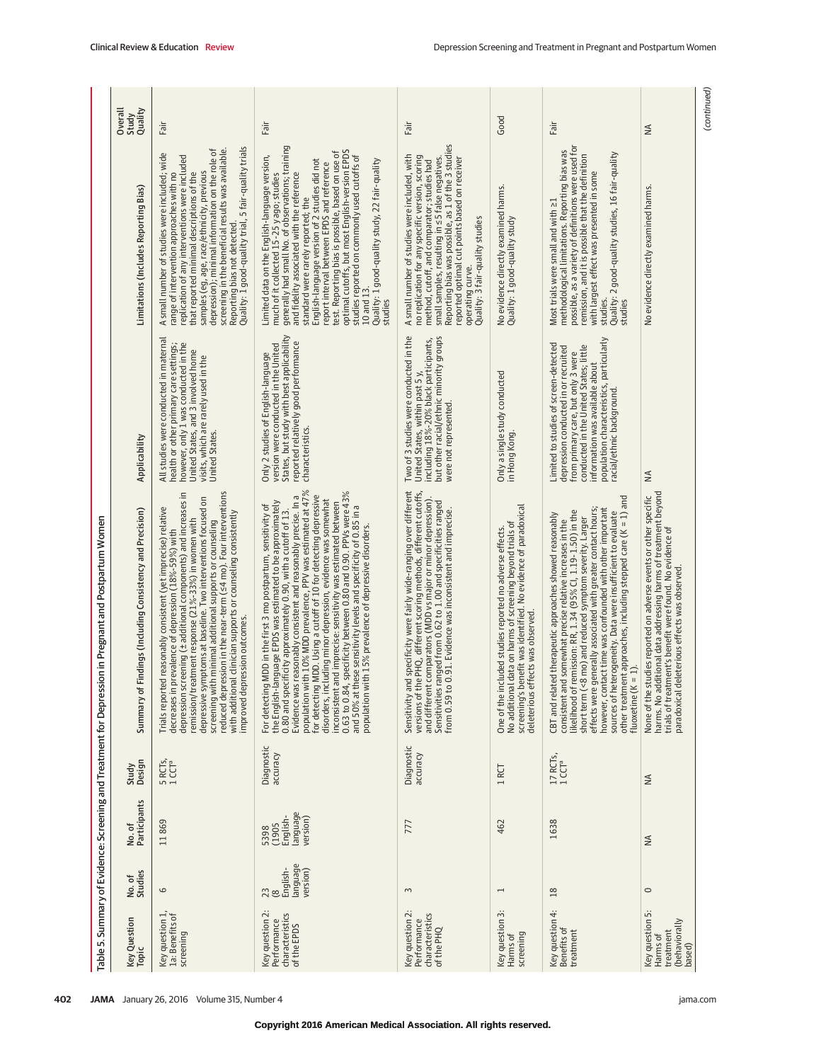|                                                                                                       | Quality<br>Overall<br>Study                                  | Fair                                                                                                                                                                                                                                                                                                                                                                                                                                                                                                                                                  | Fair                                                                                                                                                                                                                                                                                                                                                                                                                                                                                                                                                                                                                                                                                                                                       | Fair                                                                                                                                                                                                                                                                                                                                                             | Good                                                                                                                                                                                                                               | Fair                                                                                                                                                                                                                                                                                                                                                                                                                                                                                                                                            | ≨                                                                                                                                                                                                                                                  |
|-------------------------------------------------------------------------------------------------------|--------------------------------------------------------------|-------------------------------------------------------------------------------------------------------------------------------------------------------------------------------------------------------------------------------------------------------------------------------------------------------------------------------------------------------------------------------------------------------------------------------------------------------------------------------------------------------------------------------------------------------|--------------------------------------------------------------------------------------------------------------------------------------------------------------------------------------------------------------------------------------------------------------------------------------------------------------------------------------------------------------------------------------------------------------------------------------------------------------------------------------------------------------------------------------------------------------------------------------------------------------------------------------------------------------------------------------------------------------------------------------------|------------------------------------------------------------------------------------------------------------------------------------------------------------------------------------------------------------------------------------------------------------------------------------------------------------------------------------------------------------------|------------------------------------------------------------------------------------------------------------------------------------------------------------------------------------------------------------------------------------|-------------------------------------------------------------------------------------------------------------------------------------------------------------------------------------------------------------------------------------------------------------------------------------------------------------------------------------------------------------------------------------------------------------------------------------------------------------------------------------------------------------------------------------------------|----------------------------------------------------------------------------------------------------------------------------------------------------------------------------------------------------------------------------------------------------|
|                                                                                                       | Limitations (Includes Reporting Bias)                        | Quality: 1 good-quality trial, 5 fair-quality trials<br>depression); minimal information on the role of<br>screening in the beneficial results was available.<br>A small number of studies were included; wide<br>replication of any interventions were included<br>that reported minimal descriptions of the<br>samples (eg, age, race/ethnicity, previous<br>range of intervention approaches with no<br>Reporting bias not detected.                                                                                                               | generally had small No. of observations; training<br>optimal cutoffs, but most English-version EPDS<br>test. Reporting bias is possible, based on use of<br>studies reported on commonly used cutoffs of<br>Limited data on the English-language version,<br>English-language version of 2 studies did not<br>Quality: 1 good-quality study, 22 fair-quality<br>report interval between EPDS and reference<br>and fidelity associated with the reference<br>much of it collected 15-25 y ago; studies<br>standard were rarely reported; the<br>10 and 13<br>studies                                                                                                                                                                        | Reporting bias was possible, as 1 of the 3 studies<br>A small number of studies were included, with<br>no replication for any specific version, scoring<br>reported optimal cut points based on receiver<br>small samples, resulting in <5 false negatives<br>method, cutoff, and comparator; studies had<br>operating curve.<br>Quality: 3 fair-quality studies | No evidence directly examined harms.<br>Quality: 1 good-quality study                                                                                                                                                              | possible, as a variety of definitions were used for<br>methodological limitations. Reporting bias was<br>Quality: 2 good-quality studies, 16 fair-quality<br>remission, and it is possible that the definition<br>with largest effect was presented in some<br>Most trials were small and with 21<br>studies.<br>studies                                                                                                                                                                                                                        | No evidence directly examined harms.                                                                                                                                                                                                               |
|                                                                                                       | Applicability                                                | studies were conducted in maternal<br>health or other primary care settings;<br>however, only 1 was conducted in the<br>United States, and 3 involved home<br>visits, which are rarely used in the<br>United States.                                                                                                                                                                                                                                                                                                                                  | States, but study with best applicability<br>reported relatively good performance<br>version were conducted in the United<br>Only 2 studies of English-language<br>characteristics.                                                                                                                                                                                                                                                                                                                                                                                                                                                                                                                                                        | Two of 3 studies were conducted in the<br>but other racial/ethnic minority groups<br>including 18%-20% black participants,<br>United States, within past 5 y,<br>were not represented.                                                                                                                                                                           | Only a single study conducted<br>in Hong Kong.                                                                                                                                                                                     | population characteristics, particularly<br>Limited to studies of screen-detected<br>conducted in the United States; little<br>depression conducted in or recruited<br>from primary care, but only 3 were<br>information was available about<br>racial/ethnic background.                                                                                                                                                                                                                                                                       | ≨                                                                                                                                                                                                                                                  |
| Table 5. Summary of Evidence: Screening and Treatment for Depression in Pregnant and Postpartum Women | Findings (Including Consistency and Precision)<br>Summary of | depression screening (± additional components) and increases in<br>reduced depression in the near-term (≤4 mo). Four interventions<br>with additional clinician supports or counseling consistently<br>depressive symptoms at baseline. Two interventions focused on<br>Trials reported reasonably consistent (yet imprecise) relative<br>remission/treatment response (21%-33%) in women with<br>screening with minimal additional supports or counseling<br>prevalence of depression (18%-59%) with<br>mproved depression outcomes.<br>decreases in | population with 10% MDD prevalence, PPV was estimated at 47%<br>0.63 to 0.84, specificity between 0.80 and 0.90. PPVs were 43%<br>for detecting MDD. Using a cutoff of 10 for detecting depressive<br>Evidence was reasonably consistent and reasonably precise. In a<br>disorders, including minor depression, evidence was somewhat<br>the English-language EPDS was estimated to be approximately<br>inconsistent and imprecise: sensitivity was estimated between<br>these sensitivity levels and specificity of 0.85 in a<br>For detecting MDD in the first 3 mo postpartum, sensitivity of<br>0.80 and specificity approximately 0.90, with a cutoff of 13.<br>population with 15% prevalence of depressive disorders.<br>and 50% at | Sensitivity and specificity were fairly wide-ranging over different<br>the PHQ, different scoring methods, different cutoffs,<br>and different comparators (MDD vs major or minor depression).<br>Sensitivities ranged from 0.62 to 1.00 and specificities ranged<br>from 0.59 to 0.91. Evidence was inconsistent and imprecise.<br>versions of t                | benefit was identified. No evidence of paradoxical<br>No additional data on harms of screening beyond trials of<br>One of the included studies reported no adverse effects.<br>effects was observed.<br>screening's<br>deleterious | other treatment approaches, including stepped care (K = 1) and<br>effects were generally associated with greater contact hours;<br>however, contact time was confounded with other important<br>fremission: RR, 1.34 (95% CI, 1.19-1.50) in the<br>sources of heterogeneity. Data were insufficient to evaluate<br>CBT and related therapeutic approaches showed reasonably<br>short term (<8 mo) and reduced symptom severity. Larger<br>consistent and somewhat precise relative increases in the<br>fluoxetine ( $K = 1$ ).<br>likelihood of | harms. No additional data addressing harms of treatment beyond<br>None of the studies reported on adverse events or other specific<br>trials of treatment's benefit were found. No evidence of<br>deleterious effects was observed.<br>paradoxical |
|                                                                                                       | Study<br>Design                                              | 5 RCTs,<br>1 CCTª                                                                                                                                                                                                                                                                                                                                                                                                                                                                                                                                     | Diagnostic<br>accuracy                                                                                                                                                                                                                                                                                                                                                                                                                                                                                                                                                                                                                                                                                                                     | Diagnostic<br>accuracy                                                                                                                                                                                                                                                                                                                                           | 1RCT                                                                                                                                                                                                                               | 17 RCTs,<br>1 CCT <sup>a</sup>                                                                                                                                                                                                                                                                                                                                                                                                                                                                                                                  | ≸                                                                                                                                                                                                                                                  |
|                                                                                                       | No. of<br>Participants                                       | 869<br>$\Xi$                                                                                                                                                                                                                                                                                                                                                                                                                                                                                                                                          | language<br>English-<br>version)<br>(1905<br>5398                                                                                                                                                                                                                                                                                                                                                                                                                                                                                                                                                                                                                                                                                          | 777                                                                                                                                                                                                                                                                                                                                                              | 462                                                                                                                                                                                                                                | 1638                                                                                                                                                                                                                                                                                                                                                                                                                                                                                                                                            | ≨                                                                                                                                                                                                                                                  |
|                                                                                                       | No. of<br>Studies                                            | $\circ$                                                                                                                                                                                                                                                                                                                                                                                                                                                                                                                                               | language<br>version)<br>English-<br>23<br>$\infty$                                                                                                                                                                                                                                                                                                                                                                                                                                                                                                                                                                                                                                                                                         | $\sim$                                                                                                                                                                                                                                                                                                                                                           | $\overline{ }$                                                                                                                                                                                                                     | 18                                                                                                                                                                                                                                                                                                                                                                                                                                                                                                                                              | $\circ$                                                                                                                                                                                                                                            |
|                                                                                                       | Key Question<br>Topic                                        | Key question 1,<br>1a: Benefits of<br>screening                                                                                                                                                                                                                                                                                                                                                                                                                                                                                                       | Key question 2:<br>characteristics<br>Performance<br>of the EPDS                                                                                                                                                                                                                                                                                                                                                                                                                                                                                                                                                                                                                                                                           | Key question 2<br>characteristics<br>Performance<br>of the PHO                                                                                                                                                                                                                                                                                                   | Key question 3:<br>screening<br>Harms of                                                                                                                                                                                           | Key question 4:<br>Benefits of<br>treatment                                                                                                                                                                                                                                                                                                                                                                                                                                                                                                     | Key question 5:<br>(behaviorally<br>treatment<br>Harms of<br>based)                                                                                                                                                                                |

(continued) (continued)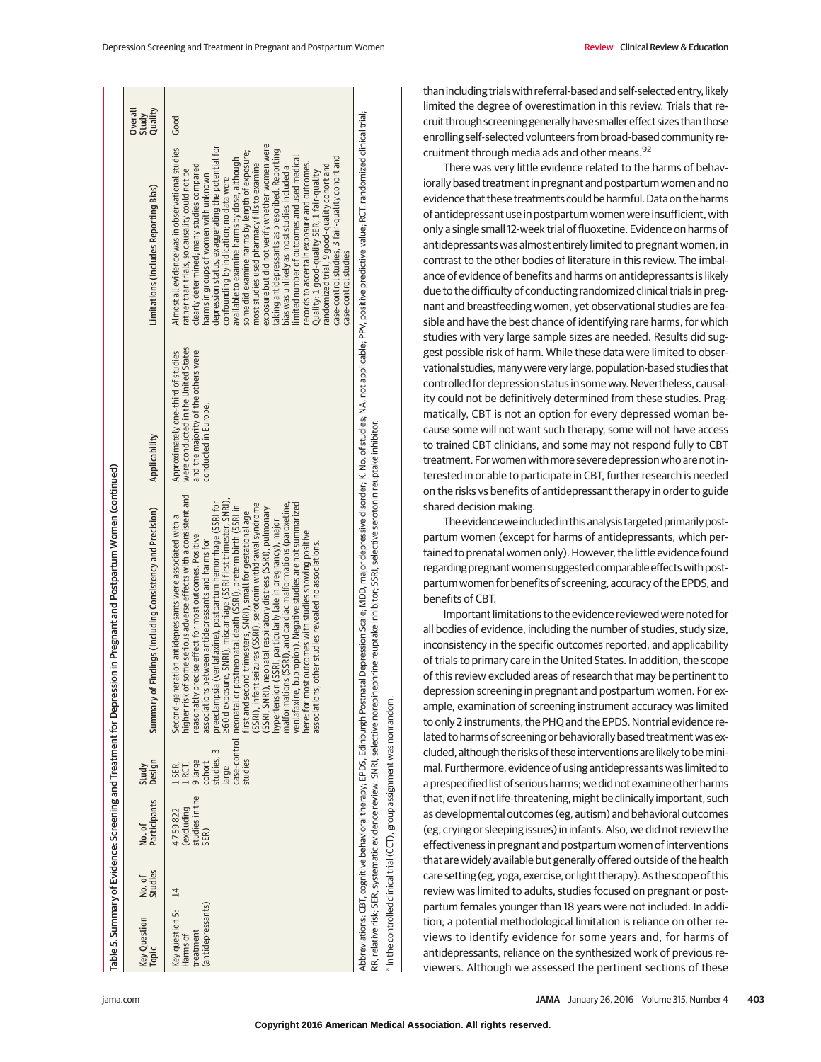|                                                                     |                                                 |                                                             | Table 5. Summary of Evidence: Screening and Treatment for Depression in Pregnant and Postpartum Women (continued)                                                                                                                                                                                                                                                                                                                                                                                                                                                                                                                                                                                                                                                                                                                                                                                                                                                                                                                                |                                                                                                                                          |                                                                                                                                                                                                                                                                                                                                                                                                                                                                                                                                                                                                                                                                                                                                                                                                                                                                    |                             |
|---------------------------------------------------------------------|-------------------------------------------------|-------------------------------------------------------------|--------------------------------------------------------------------------------------------------------------------------------------------------------------------------------------------------------------------------------------------------------------------------------------------------------------------------------------------------------------------------------------------------------------------------------------------------------------------------------------------------------------------------------------------------------------------------------------------------------------------------------------------------------------------------------------------------------------------------------------------------------------------------------------------------------------------------------------------------------------------------------------------------------------------------------------------------------------------------------------------------------------------------------------------------|------------------------------------------------------------------------------------------------------------------------------------------|--------------------------------------------------------------------------------------------------------------------------------------------------------------------------------------------------------------------------------------------------------------------------------------------------------------------------------------------------------------------------------------------------------------------------------------------------------------------------------------------------------------------------------------------------------------------------------------------------------------------------------------------------------------------------------------------------------------------------------------------------------------------------------------------------------------------------------------------------------------------|-----------------------------|
| Studies<br>No.of<br>Key Question<br>Topic                           | Participants<br>No.of                           | Study<br>Design                                             | Summary of Findings (Including Consistency and Precision)                                                                                                                                                                                                                                                                                                                                                                                                                                                                                                                                                                                                                                                                                                                                                                                                                                                                                                                                                                                        | Applicability                                                                                                                            | Limitations (Includes Reporting Bias)                                                                                                                                                                                                                                                                                                                                                                                                                                                                                                                                                                                                                                                                                                                                                                                                                              | Quality<br>Overall<br>Study |
| 14<br>Key question 5:<br>(antidepressants)<br>treatment<br>Harms of | (excluding<br>studies in the<br>4759822<br>SER) | studies, 3<br>studies<br>9 large<br>cohort<br>SER,<br>large | higher risk of some serious adverse effects with a consistent and<br>260 d exposure, SNRI), miscarriage (SSRI first trimester, SNRI),<br>venlafaxine, bupropion). Negative studies are not summarized<br>preeclampsia (venlafaxine), postpartum hemorrhage (SSRI for<br>), infant seizures (SSRI), serotonin withdrawal syndrome<br>(SSRI, SNRI), neonatal respiratory distress (SSRI), pulmonary<br>hypertension (SSRI, particularly late in pregnancy), major<br>malformations (SSRI), and cardiac malformations (paroxetine,<br>case-control neonatal or postneonatal death (SSRI), preterm birth (SSRII in<br>first and second trimesters, SNRI), small for gestational age<br>(SSRI), infant seizures (SSRI), serotonin withdrawal syndron<br>Second-generation antidepressants were associated with a<br>here: for most outcomes with studies showing positive<br>reasonably precise effect for most outcomes. Positive<br>associations between antidepressants and harms for<br>ations, other studies revealed no associations.<br>associ | were conducted in the United States<br>and the majority of the others were<br>Approximately one-third of studies<br>conducted in Europe. | exposure but did not verify whether women were<br>depression status, exaggerating the potential for<br>Almost all evidence was in observational studies<br>taking antidepressants as prescribed. Reporting<br>some did examine harms by length of exposure;<br>case-control studies, 3 fair-quality cohort and<br>limited number of outcomes and used medical<br>available to examine harms by dose, although<br>records to ascertain exposure and outcomes.<br>most studies used pharmacy fills to examine<br>randomized trial, 9 good-quality cohort and<br>clearly determined; many studies compared<br>bias was unlikely as most studies included a<br>ather than trials, so causality could not be<br>Quality: 1 good-quality SER, 1 fair-quality<br>harms in groups of women with unknown<br>confounding by indication; no data were<br>case-control studies | Good                        |
|                                                                     |                                                 |                                                             | Abbreviations: CBT, cognitive behavioral therapy; EPDS, Edinburgh Postnatal Depression Scale; MDD, major depressive disorder; K, No. of studies; NA, not applicable; PPV, positive predictive value; RCT, randomized clinical<br>RR, relative risk; SER, systematic evidence review; SNRI, selective norepinerine reuptake inhibitor; SSRI, selective serotonin reuptake inhibitor.                                                                                                                                                                                                                                                                                                                                                                                                                                                                                                                                                                                                                                                              |                                                                                                                                          |                                                                                                                                                                                                                                                                                                                                                                                                                                                                                                                                                                                                                                                                                                                                                                                                                                                                    |                             |

than including trials with referral-based and self-selected entry, likely limited the degree of overestimation in this review. Trials that recruit through screening generally have smallereffect sizes than those enrolling self-selected volunteers from broad-based community recruitment through media ads and other means.<sup>92</sup>

There was very little evidence related to the harms of behaviorally based treatment in pregnant and postpartum women and no evidence that these treatments could be harmful. Data on the harms of antidepressant use in postpartum women were insufficient, with only a single small 12-week trial of fluoxetine. Evidence on harms of antidepressants was almost entirely limited to pregnant women, in contrast to the other bodies of literature in this review. The imbalance of evidence of benefits and harms on antidepressants is likely due to the difficulty of conducting randomized clinical trials in pregnant and breastfeeding women, yet observational studies are feasible and have the best chance of identifying rare harms, for which studies with very large sample sizes are needed. Results did suggest possible risk of harm. While these data were limited to observational studies, many were very large, population-based studies that controlled for depression status in some way. Nevertheless, causality could not be definitively determined from these studies. Pragmatically, CBT is not an option for every depressed woman because some will not want such therapy, some will not have access to trained CBT clinicians, and some may not respond fully to CBT treatment. For women with more severe depression who are not interested in or able to participate in CBT, further research is needed on the risks vs benefits of antidepressant therapy in order to guide shared decision making.

The evidence we included in this analysis targeted primarily postpartum women (except for harms of antidepressants, which pertained to prenatal women only). However, the little evidence found regarding pregnant women suggested comparable effects with postpartum women for benefits of screening, accuracy of the EPDS, and benefits of CBT.

Important limitations to the evidence reviewed were noted for all bodies of evidence, including the number of studies, study size, inconsistency in the specific outcomes reported, and applicability of trials to primary care in the United States. In addition, the scope of this review excluded areas of research that may be pertinent to depression screening in pregnant and postpartum women. For example, examination of screening instrument accuracy was limited to only 2 instruments, the PHQ and the EPDS. Nontrial evidence related to harms of screening or behaviorally based treatment was excluded, although the risks of these interventions are likely to beminimal. Furthermore, evidence of using antidepressants was limited to a prespecified list of serious harms; we did not examine other harms that, even if not life-threatening, might be clinically important, such as developmental outcomes (eg, autism) and behavioral outcomes (eg, crying or sleeping issues) in infants. Also, we did not review the effectiveness in pregnant and postpartum women of interventions that are widely available but generally offered outside of the health care setting (eg, yoga, exercise, or light therapy). As the scope of this review was limited to adults, studies focused on pregnant or postpartum females younger than 18 years were not included. In addition, a potential methodological limitation is reliance on other reviews to identify evidence for some years and, for harms of antidepressants, reliance on the synthesized work of previous reviewers. Although we assessed the pertinent sections of these

a

<sup>a</sup> In the controlled clinical trial (CCT), group assignment was nonrandom.

In the controlled clinical trial (CCT), group assignment was nonrandom.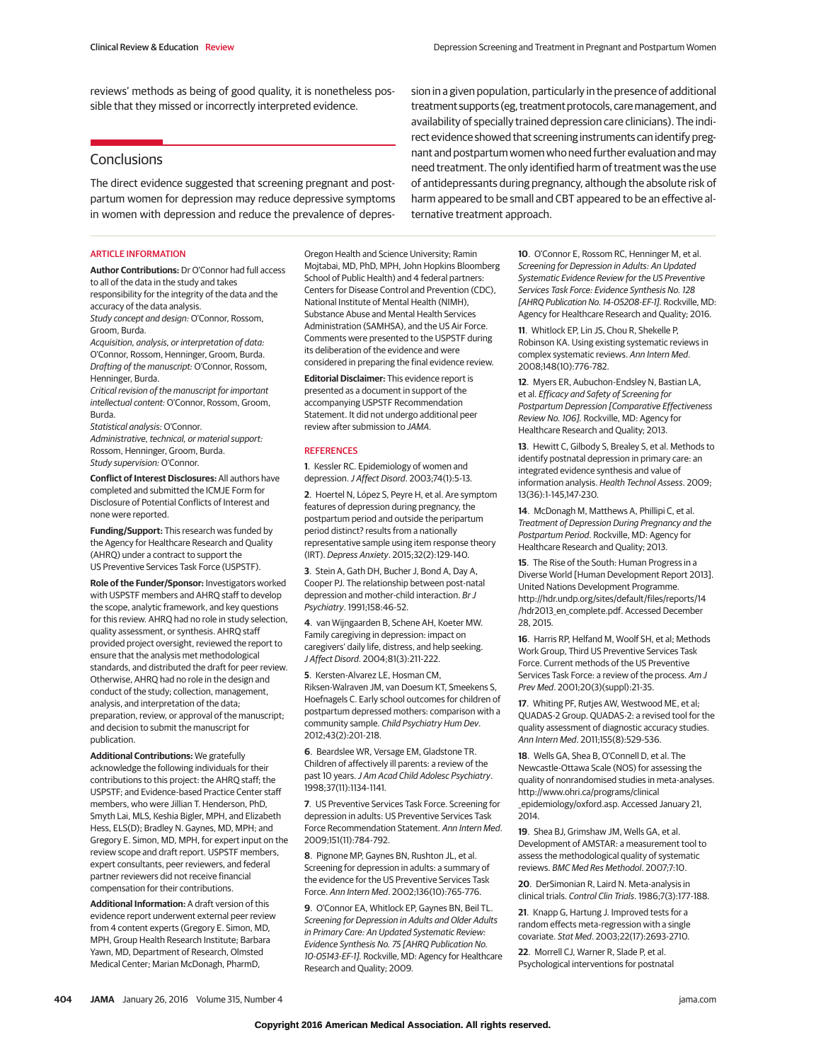reviews' methods as being of good quality, it is nonetheless possible that they missed or incorrectly interpreted evidence.

## **Conclusions**

The direct evidence suggested that screening pregnant and postpartum women for depression may reduce depressive symptoms in women with depression and reduce the prevalence of depres-

#### ARTICLE INFORMATION

**Author Contributions:** Dr O'Connor had full access to all of the data in the study and takes responsibility for the integrity of the data and the accuracy of the data analysis.

Study concept and design: O'Connor, Rossom, Groom, Burda.

Acquisition, analysis, or interpretation of data: O'Connor, Rossom, Henninger, Groom, Burda. Drafting of the manuscript: O'Connor, Rossom, Henninger, Burda.

Critical revision of the manuscript for important intellectual content: O'Connor, Rossom, Groom, Burda. Statistical analysis: O'Connor.

Administrative, technical, or material support: Rossom, Henninger, Groom, Burda. Study supervision: O'Connor.

**Conflict of Interest Disclosures:** All authors have completed and submitted the ICMJE Form for Disclosure of Potential Conflicts of Interest and none were reported.

**Funding/Support:** This research was funded by the Agency for Healthcare Research and Quality (AHRQ) under a contract to support the US Preventive Services Task Force (USPSTF).

**Role of the Funder/Sponsor:** Investigators worked with USPSTF members and AHRQ staff to develop the scope, analytic framework, and key questions for this review. AHRQ had no role in study selection, quality assessment, or synthesis. AHRQ staff provided project oversight, reviewed the report to ensure that the analysis met methodological standards, and distributed the draft for peer review. Otherwise, AHRQ had no role in the design and conduct of the study; collection, management, analysis, and interpretation of the data; preparation, review, or approval of the manuscript; and decision to submit the manuscript for publication.

**Additional Contributions:** We gratefully acknowledge the following individuals for their contributions to this project: the AHRQ staff; the USPSTF; and Evidence-based Practice Center staff members, who were Jillian T. Henderson, PhD, Smyth Lai, MLS, Keshia Bigler, MPH, and Elizabeth Hess, ELS(D); Bradley N. Gaynes, MD, MPH; and Gregory E. Simon, MD, MPH, for expert input on the review scope and draft report. USPSTF members, expert consultants, peer reviewers, and federal partner reviewers did not receive financial compensation for their contributions.

**Additional Information:** A draft version of this evidence report underwent external peer review from 4 content experts (Gregory E. Simon, MD, MPH, Group Health Research Institute; Barbara Yawn, MD, Department of Research, Olmsted Medical Center; Marian McDonagh, PharmD,

Oregon Health and Science University; Ramin Mojtabai, MD, PhD, MPH, John Hopkins Bloomberg School of Public Health) and 4 federal partners: Centers for Disease Control and Prevention (CDC), National Institute of Mental Health (NIMH), Substance Abuse and Mental Health Services Administration (SAMHSA), and the US Air Force. Comments were presented to the USPSTF during its deliberation of the evidence and were considered in preparing the final evidence review.

**Editorial Disclaimer:** This evidence report is presented as a document in support of the accompanying USPSTF Recommendation Statement. It did not undergo additional peer review after submission to JAMA.

#### **REFERENCES**

**1**. Kessler RC. Epidemiology of women and depression.J Affect Disord. 2003;74(1):5-13.

**2**. Hoertel N, López S, Peyre H, et al. Are symptom features of depression during pregnancy, the postpartum period and outside the peripartum period distinct? results from a nationally representative sample using item response theory (IRT). Depress Anxiety. 2015;32(2):129-140.

**3**. Stein A, Gath DH, Bucher J, Bond A, Day A, Cooper PJ. The relationship between post-natal depression and mother-child interaction. Br J Psychiatry. 1991;158:46-52.

**4**. van Wijngaarden B, Schene AH, Koeter MW. Family caregiving in depression: impact on caregivers' daily life, distress, and help seeking. J Affect Disord. 2004;81(3):211-222.

**5**. Kersten-Alvarez LE, Hosman CM, Riksen-Walraven JM, van Doesum KT, Smeekens S, Hoefnagels C. Early school outcomes for children of postpartum depressed mothers: comparison with a community sample. Child Psychiatry Hum Dev. 2012;43(2):201-218.

**6**. Beardslee WR, Versage EM, Gladstone TR. Children of affectively ill parents: a review of the past 10 years. J Am Acad Child Adolesc Psychiatry. 1998;37(11):1134-1141.

**7**. US Preventive Services Task Force. Screening for depression in adults: US Preventive Services Task Force Recommendation Statement. Ann Intern Med. 2009;151(11):784-792.

**8**. Pignone MP, Gaynes BN, Rushton JL, et al. Screening for depression in adults: a summary of the evidence for the US Preventive Services Task Force. Ann Intern Med. 2002;136(10):765-776.

**9**. O'Connor EA, Whitlock EP, Gaynes BN, Beil TL. Screening for Depression in Adults and Older Adults in Primary Care: An Updated Systematic Review: Evidence Synthesis No. 75 [AHRQ Publication No. 10-05143-EF-1]. Rockville, MD: Agency for Healthcare Research and Quality; 2009.

sion in a given population, particularly in the presence of additional treatment supports (eg, treatment protocols, care management, and availability of specially trained depression care clinicians). The indirect evidence showed that screening instruments can identify pregnant and postpartum women who need further evaluation and may need treatment. The only identified harm of treatment was the use of antidepressants during pregnancy, although the absolute risk of harm appeared to be small and CBT appeared to be an effective alternative treatment approach.

> **10**. O'Connor E, Rossom RC, Henninger M, et al. Screening for Depression in Adults: An Updated Systematic Evidence Review for the US Preventive Services Task Force: Evidence Synthesis No. 128 [AHRQ Publication No. 14-05208-EF-1]. Rockville, MD: Agency for Healthcare Research and Quality; 2016.

**11**. Whitlock EP, Lin JS, Chou R, Shekelle P, Robinson KA. Using existing systematic reviews in complex systematic reviews. Ann Intern Med. 2008;148(10):776-782.

**12**. Myers ER, Aubuchon-Endsley N, Bastian LA, et al. Efficacy and Safety of Screening for Postpartum Depression [Comparative Effectiveness Review No. 106]. Rockville, MD: Agency for Healthcare Research and Quality; 2013.

**13**. Hewitt C, Gilbody S, Brealey S, et al. Methods to identify postnatal depression in primary care: an integrated evidence synthesis and value of information analysis. Health Technol Assess. 2009; 13(36):1-145,147-230.

**14**. McDonagh M, Matthews A, Phillipi C, et al. Treatment of Depression During Pregnancy and the Postpartum Period. Rockville, MD: Agency for Healthcare Research and Quality; 2013.

**15**. The Rise of the South: Human Progress in a Diverse World [Human Development Report 2013]. United Nations Development Programme. http://hdr.undp.org/sites/default/files/reports/14 /hdr2013\_en\_complete.pdf. Accessed December 28, 2015.

**16**. Harris RP, Helfand M, Woolf SH, et al; Methods Work Group, Third US Preventive Services Task Force. Current methods of the US Preventive Services Task Force: a review of the process. Am J Prev Med. 2001;20(3)(suppl):21-35.

**17**. Whiting PF, Rutjes AW, Westwood ME, et al; QUADAS-2 Group. QUADAS-2: a revised tool for the quality assessment of diagnostic accuracy studies. Ann Intern Med. 2011;155(8):529-536.

**18**. Wells GA, Shea B, O'Connell D, et al. The Newcastle-Ottawa Scale (NOS) for assessing the quality of nonrandomised studies in meta-analyses. http://www.ohri.ca/programs/clinical \_epidemiology/oxford.asp. Accessed January 21, 2014.

**19**. Shea BJ, Grimshaw JM, Wells GA, et al. Development of AMSTAR: a measurement tool to assess the methodological quality of systematic reviews. BMC Med Res Methodol. 2007;7:10.

**20**. DerSimonian R, Laird N. Meta-analysis in clinical trials. Control Clin Trials. 1986;7(3):177-188.

**21**. Knapp G, Hartung J. Improved tests for a random effects meta-regression with a single covariate. Stat Med. 2003;22(17):2693-2710.

**22**. Morrell CJ, Warner R, Slade P, et al. Psychological interventions for postnatal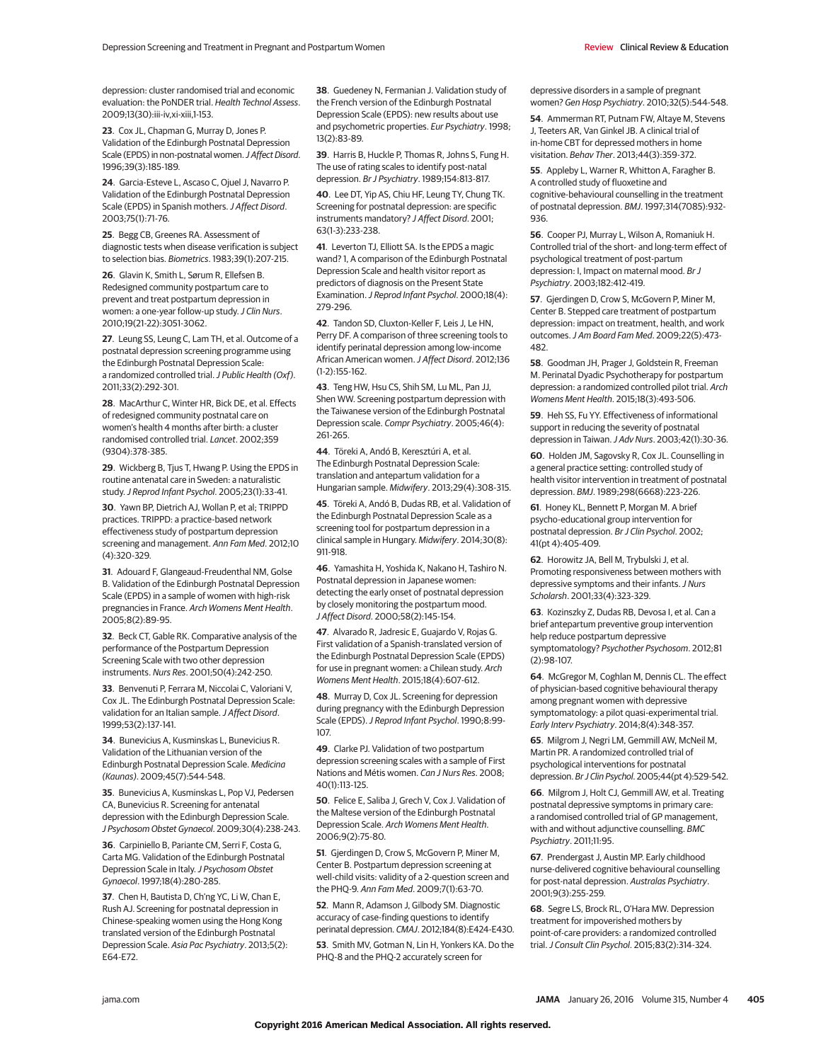depression: cluster randomised trial and economic evaluation: the PoNDER trial. Health Technol Assess. 2009;13(30):iii-iv,xi-xiii,1-153.

**23**. Cox JL, Chapman G, Murray D, Jones P. Validation of the Edinburgh Postnatal Depression Scale (EPDS) in non-postnatal women. J Affect Disord. 1996;39(3):185-189.

**24**. Garcia-Esteve L, Ascaso C, Ojuel J, Navarro P. Validation of the Edinburgh Postnatal Depression Scale (EPDS) in Spanish mothers. J Affect Disord. 2003;75(1):71-76.

**25**. Begg CB, Greenes RA. Assessment of diagnostic tests when disease verification is subject to selection bias. Biometrics. 1983;39(1):207-215.

**26**. Glavin K, Smith L, Sørum R, Ellefsen B. Redesigned community postpartum care to prevent and treat postpartum depression in women: a one-year follow-up study. J Clin Nurs. 2010;19(21-22):3051-3062.

**27**. Leung SS, Leung C, Lam TH, et al. Outcome of a postnatal depression screening programme using the Edinburgh Postnatal Depression Scale: a randomized controlled trial. J Public Health (Oxf). 2011;33(2):292-301.

**28**. MacArthur C, Winter HR, Bick DE, et al. Effects of redesigned community postnatal care on women's health 4 months after birth: a cluster randomised controlled trial. Lancet. 2002;359 (9304):378-385.

**29**. Wickberg B, Tjus T, Hwang P. Using the EPDS in routine antenatal care in Sweden: a naturalistic study.J Reprod Infant Psychol. 2005;23(1):33-41.

**30**. Yawn BP, Dietrich AJ, Wollan P, et al; TRIPPD practices. TRIPPD: a practice-based network effectiveness study of postpartum depression screening and management. Ann Fam Med. 2012;10 (4):320-329.

**31**. Adouard F, Glangeaud-Freudenthal NM, Golse B. Validation of the Edinburgh Postnatal Depression Scale (EPDS) in a sample of women with high-risk pregnancies in France. Arch Womens Ment Health. 2005;8(2):89-95.

**32**. Beck CT, Gable RK. Comparative analysis of the performance of the Postpartum Depression Screening Scale with two other depression instruments. Nurs Res. 2001;50(4):242-250.

**33**. Benvenuti P, Ferrara M, Niccolai C, Valoriani V, Cox JL. The Edinburgh Postnatal Depression Scale: validation for an Italian sample. J Affect Disord. 1999;53(2):137-141.

**34**. Bunevicius A, Kusminskas L, Bunevicius R. Validation of the Lithuanian version of the Edinburgh Postnatal Depression Scale. Medicina (Kaunas). 2009;45(7):544-548.

**35**. Bunevicius A, Kusminskas L, Pop VJ, Pedersen CA, Bunevicius R. Screening for antenatal depression with the Edinburgh Depression Scale. J Psychosom Obstet Gynaecol. 2009;30(4):238-243.

**36**. Carpiniello B, Pariante CM, Serri F, Costa G, Carta MG. Validation of the Edinburgh Postnatal Depression Scale in Italy. J Psychosom Obstet Gynaecol. 1997;18(4):280-285.

**37**. Chen H, Bautista D, Ch'ng YC, Li W, Chan E, Rush AJ. Screening for postnatal depression in Chinese-speaking women using the Hong Kong translated version of the Edinburgh Postnatal Depression Scale. Asia Pac Psychiatry. 2013;5(2): E64-E72.

**38**. Guedeney N, Fermanian J. Validation study of the French version of the Edinburgh Postnatal Depression Scale (EPDS): new results about use and psychometric properties. Eur Psychiatry. 1998; 13(2):83-89.

**39**. Harris B, Huckle P, Thomas R, Johns S, Fung H. The use of rating scales to identify post-natal depression. Br J Psychiatry. 1989;154:813-817.

**40**. Lee DT, Yip AS, Chiu HF, Leung TY, Chung TK. Screening for postnatal depression: are specific instruments mandatory? J Affect Disord. 2001; 63(1-3):233-238.

**41**. Leverton TJ, Elliott SA. Is the EPDS a magic wand? 1, A comparison of the Edinburgh Postnatal Depression Scale and health visitor report as predictors of diagnosis on the Present State Examination.J Reprod Infant Psychol. 2000;18(4): 279-296.

**42**. Tandon SD, Cluxton-Keller F, Leis J, Le HN, Perry DF. A comparison of three screening tools to identify perinatal depression among low-income African American women.J Affect Disord. 2012;136 (1-2):155-162.

**43**. Teng HW, Hsu CS, Shih SM, Lu ML, Pan JJ, Shen WW. Screening postpartum depression with the Taiwanese version of the Edinburgh Postnatal Depression scale. Compr Psychiatry. 2005;46(4): 261-265.

**44**. Töreki A, Andó B, Keresztúri A, et al. The Edinburgh Postnatal Depression Scale: translation and antepartum validation for a Hungarian sample. Midwifery. 2013;29(4):308-315.

**45**. Töreki A, Andó B, Dudas RB, et al. Validation of the Edinburgh Postnatal Depression Scale as a screening tool for postpartum depression in a clinical sample in Hungary. Midwifery. 2014;30(8): 911-918.

**46**. Yamashita H, Yoshida K, Nakano H, Tashiro N. Postnatal depression in Japanese women: detecting the early onset of postnatal depression by closely monitoring the postpartum mood. J Affect Disord. 2000;58(2):145-154.

**47**. Alvarado R, Jadresic E, Guajardo V, Rojas G. First validation of a Spanish-translated version of the Edinburgh Postnatal Depression Scale (EPDS) for use in pregnant women: a Chilean study. Arch Womens Ment Health. 2015;18(4):607-612.

**48**. Murray D, Cox JL. Screening for depression during pregnancy with the Edinburgh Depression Scale (EPDS). J Reprod Infant Psychol. 1990;8:99-107.

**49**. Clarke PJ. Validation of two postpartum depression screening scales with a sample of First Nations and Métis women. Can J Nurs Res. 2008; 40(1):113-125.

**50**. Felice E, Saliba J, Grech V, Cox J. Validation of the Maltese version of the Edinburgh Postnatal Depression Scale. Arch Womens Ment Health. 2006;9(2):75-80.

**51**. Gjerdingen D, Crow S, McGovern P, Miner M, Center B. Postpartum depression screening at well-child visits: validity of a 2-question screen and the PHQ-9. Ann Fam Med. 2009;7(1):63-70.

**52**. Mann R, Adamson J, Gilbody SM. Diagnostic accuracy of case-finding questions to identify perinatal depression. CMAJ. 2012;184(8):E424-E430.

**53**. Smith MV, Gotman N, Lin H, Yonkers KA. Do the PHQ-8 and the PHQ-2 accurately screen for

depressive disorders in a sample of pregnant women? Gen Hosp Psychiatry. 2010;32(5):544-548.

**54**. Ammerman RT, Putnam FW, Altaye M, Stevens J, Teeters AR, Van Ginkel JB. A clinical trial of in-home CBT for depressed mothers in home visitation. Behav Ther. 2013;44(3):359-372.

**55**. Appleby L, Warner R, Whitton A, Faragher B. A controlled study of fluoxetine and cognitive-behavioural counselling in the treatment of postnatal depression. BMJ. 1997;314(7085):932- 936.

**56**. Cooper PJ, Murray L, Wilson A, Romaniuk H. Controlled trial of the short- and long-term effect of psychological treatment of post-partum depression: I, Impact on maternal mood. Br J Psychiatry. 2003;182:412-419.

**57**. Gjerdingen D, Crow S, McGovern P, Miner M, Center B. Stepped care treatment of postpartum depression: impact on treatment, health, and work outcomes.J Am Board Fam Med. 2009;22(5):473- 482.

**58**. Goodman JH, Prager J, Goldstein R, Freeman M. Perinatal Dyadic Psychotherapy for postpartum depression: a randomized controlled pilot trial. Arch Womens Ment Health. 2015;18(3):493-506.

**59**. Heh SS, Fu YY. Effectiveness of informational support in reducing the severity of postnatal depression in Taiwan. J Adv Nurs. 2003;42(1):30-36.

**60**. Holden JM, Sagovsky R, Cox JL. Counselling in a general practice setting: controlled study of health visitor intervention in treatment of postnatal depression. BMJ. 1989;298(6668):223-226.

**61**. Honey KL, Bennett P, Morgan M. A brief psycho-educational group intervention for postnatal depression. Br J Clin Psychol. 2002; 41(pt 4):405-409.

**62**. Horowitz JA, Bell M, Trybulski J, et al. Promoting responsiveness between mothers with depressive symptoms and their infants. J Nurs Scholarsh. 2001;33(4):323-329.

**63**. Kozinszky Z, Dudas RB, Devosa I, et al. Can a brief antepartum preventive group intervention help reduce postpartum depressive symptomatology? Psychother Psychosom. 2012;81 (2):98-107.

**64**. McGregor M, Coghlan M, Dennis CL. The effect of physician-based cognitive behavioural therapy among pregnant women with depressive symptomatology: a pilot quasi-experimental trial. Early Interv Psychiatry. 2014;8(4):348-357.

**65**. Milgrom J, Negri LM, Gemmill AW, McNeil M, Martin PR. A randomized controlled trial of psychological interventions for postnatal depression. Br J Clin Psychol. 2005;44(pt 4):529-542.

**66**. Milgrom J, Holt CJ, Gemmill AW, et al. Treating postnatal depressive symptoms in primary care: a randomised controlled trial of GP management, with and without adjunctive counselling. BMC Psychiatry. 2011;11:95.

**67**. Prendergast J, Austin MP. Early childhood nurse-delivered cognitive behavioural counselling for post-natal depression. Australas Psychiatry. 2001;9(3):255-259.

**68**. Segre LS, Brock RL, O'Hara MW. Depression treatment for impoverished mothers by point-of-care providers: a randomized controlled trial.J Consult Clin Psychol. 2015;83(2):314-324.